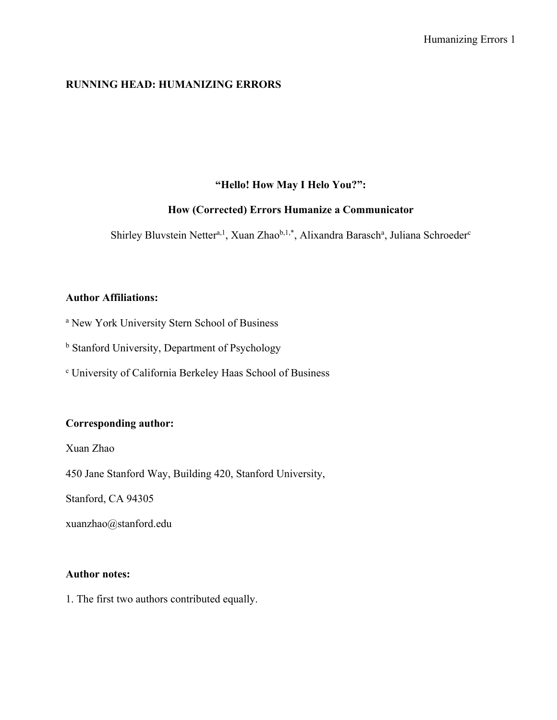# **RUNNING HEAD: HUMANIZING ERRORS**

# **"Hello! How May I Helo You?":**

# **How (Corrected) Errors Humanize a Communicator**

Shirley Bluvstein Netter<sup>a, 1</sup>, Xuan Zhao<sup>b, 1,\*</sup>, Alixandra Barasch<sup>a</sup>, Juliana Schroeder<sup>c</sup>

# **Author Affiliations:**

<sup>a</sup> New York University Stern School of Business

**b** Stanford University, Department of Psychology

<sup>c</sup> University of California Berkeley Haas School of Business

# **Corresponding author:**

Xuan Zhao

450 Jane Stanford Way, Building 420, Stanford University,

Stanford, CA 94305

xuanzhao@stanford.edu

# **Author notes:**

1. The first two authors contributed equally.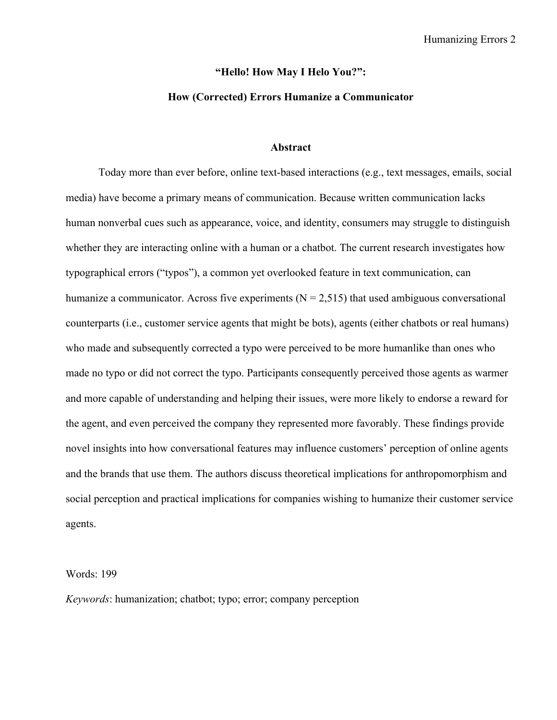### **"Hello! How May I Helo You?":**

## **How (Corrected) Errors Humanize a Communicator**

### **Abstract**

Today more than ever before, online text-based interactions (e.g., text messages, emails, social media) have become a primary means of communication. Because written communication lacks human nonverbal cues such as appearance, voice, and identity, consumers may struggle to distinguish whether they are interacting online with a human or a chatbot. The current research investigates how typographical errors ("typos"), a common yet overlooked feature in text communication, can humanize a communicator. Across five experiments ( $N = 2,515$ ) that used ambiguous conversational counterparts (i.e., customer service agents that might be bots), agents (either chatbots or real humans) who made and subsequently corrected a typo were perceived to be more humanlike than ones who made no typo or did not correct the typo. Participants consequently perceived those agents as warmer and more capable of understanding and helping their issues, were more likely to endorse a reward for the agent, and even perceived the company they represented more favorably. These findings provide novel insights into how conversational features may influence customers' perception of online agents and the brands that use them. The authors discuss theoretical implications for anthropomorphism and social perception and practical implications for companies wishing to humanize their customer service agents.

#### Words: 199

*Keywords*: humanization; chatbot; typo; error; company perception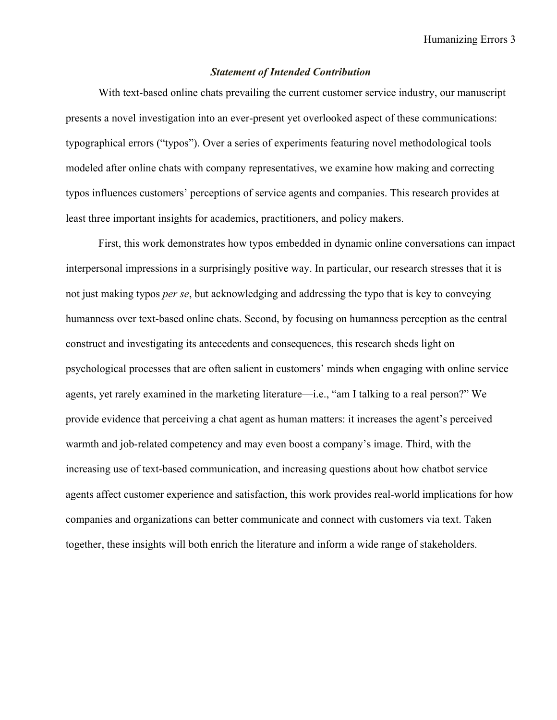# *Statement of Intended Contribution*

With text-based online chats prevailing the current customer service industry, our manuscript presents a novel investigation into an ever-present yet overlooked aspect of these communications: typographical errors ("typos"). Over a series of experiments featuring novel methodological tools modeled after online chats with company representatives, we examine how making and correcting typos influences customers' perceptions of service agents and companies. This research provides at least three important insights for academics, practitioners, and policy makers.

First, this work demonstrates how typos embedded in dynamic online conversations can impact interpersonal impressions in a surprisingly positive way. In particular, our research stresses that it is not just making typos *per se*, but acknowledging and addressing the typo that is key to conveying humanness over text-based online chats. Second, by focusing on humanness perception as the central construct and investigating its antecedents and consequences, this research sheds light on psychological processes that are often salient in customers' minds when engaging with online service agents, yet rarely examined in the marketing literature—i.e., "am I talking to a real person?" We provide evidence that perceiving a chat agent as human matters: it increases the agent's perceived warmth and job-related competency and may even boost a company's image. Third, with the increasing use of text-based communication, and increasing questions about how chatbot service agents affect customer experience and satisfaction, this work provides real-world implications for how companies and organizations can better communicate and connect with customers via text. Taken together, these insights will both enrich the literature and inform a wide range of stakeholders.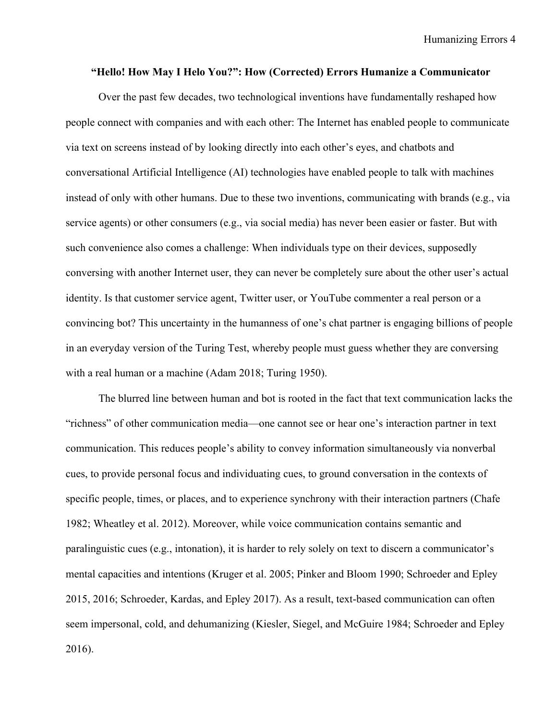Humanizing Errors 4

#### **"Hello! How May I Helo You?": How (Corrected) Errors Humanize a Communicator**

Over the past few decades, two technological inventions have fundamentally reshaped how people connect with companies and with each other: The Internet has enabled people to communicate via text on screens instead of by looking directly into each other's eyes, and chatbots and conversational Artificial Intelligence (AI) technologies have enabled people to talk with machines instead of only with other humans. Due to these two inventions, communicating with brands (e.g., via service agents) or other consumers (e.g., via social media) has never been easier or faster. But with such convenience also comes a challenge: When individuals type on their devices, supposedly conversing with another Internet user, they can never be completely sure about the other user's actual identity. Is that customer service agent, Twitter user, or YouTube commenter a real person or a convincing bot? This uncertainty in the humanness of one's chat partner is engaging billions of people in an everyday version of the Turing Test, whereby people must guess whether they are conversing with a real human or a machine (Adam 2018; Turing 1950).

The blurred line between human and bot is rooted in the fact that text communication lacks the "richness" of other communication media—one cannot see or hear one's interaction partner in text communication. This reduces people's ability to convey information simultaneously via nonverbal cues, to provide personal focus and individuating cues, to ground conversation in the contexts of specific people, times, or places, and to experience synchrony with their interaction partners (Chafe 1982; Wheatley et al. 2012). Moreover, while voice communication contains semantic and paralinguistic cues (e.g., intonation), it is harder to rely solely on text to discern a communicator's mental capacities and intentions (Kruger et al. 2005; Pinker and Bloom 1990; Schroeder and Epley 2015, 2016; Schroeder, Kardas, and Epley 2017). As a result, text-based communication can often seem impersonal, cold, and dehumanizing (Kiesler, Siegel, and McGuire 1984; Schroeder and Epley 2016).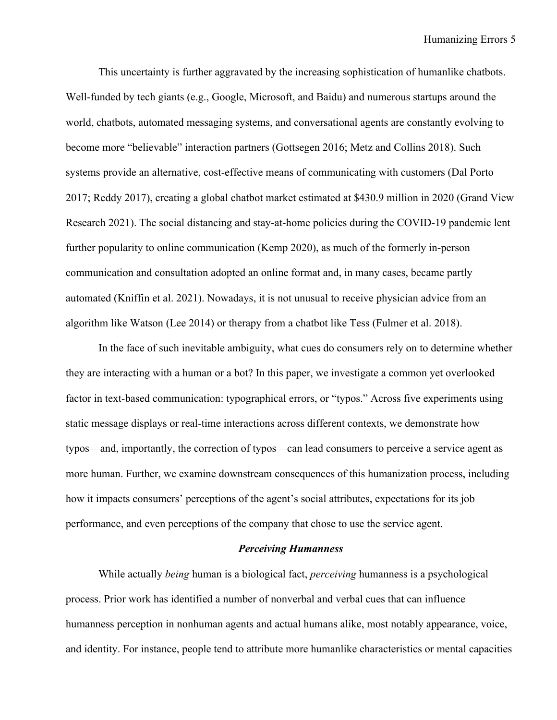This uncertainty is further aggravated by the increasing sophistication of humanlike chatbots. Well-funded by tech giants (e.g., Google, Microsoft, and Baidu) and numerous startups around the world, chatbots, automated messaging systems, and conversational agents are constantly evolving to become more "believable" interaction partners (Gottsegen 2016; Metz and Collins 2018). Such systems provide an alternative, cost-effective means of communicating with customers (Dal Porto 2017; Reddy 2017), creating a global chatbot market estimated at \$430.9 million in 2020 (Grand View Research 2021). The social distancing and stay-at-home policies during the COVID-19 pandemic lent further popularity to online communication (Kemp 2020), as much of the formerly in-person communication and consultation adopted an online format and, in many cases, became partly automated (Kniffin et al. 2021). Nowadays, it is not unusual to receive physician advice from an algorithm like Watson (Lee 2014) or therapy from a chatbot like Tess (Fulmer et al. 2018).

In the face of such inevitable ambiguity, what cues do consumers rely on to determine whether they are interacting with a human or a bot? In this paper, we investigate a common yet overlooked factor in text-based communication: typographical errors, or "typos." Across five experiments using static message displays or real-time interactions across different contexts, we demonstrate how typos—and, importantly, the correction of typos—can lead consumers to perceive a service agent as more human. Further, we examine downstream consequences of this humanization process, including how it impacts consumers' perceptions of the agent's social attributes, expectations for its job performance, and even perceptions of the company that chose to use the service agent.

## *Perceiving Humanness*

While actually *being* human is a biological fact, *perceiving* humanness is a psychological process. Prior work has identified a number of nonverbal and verbal cues that can influence humanness perception in nonhuman agents and actual humans alike, most notably appearance, voice, and identity. For instance, people tend to attribute more humanlike characteristics or mental capacities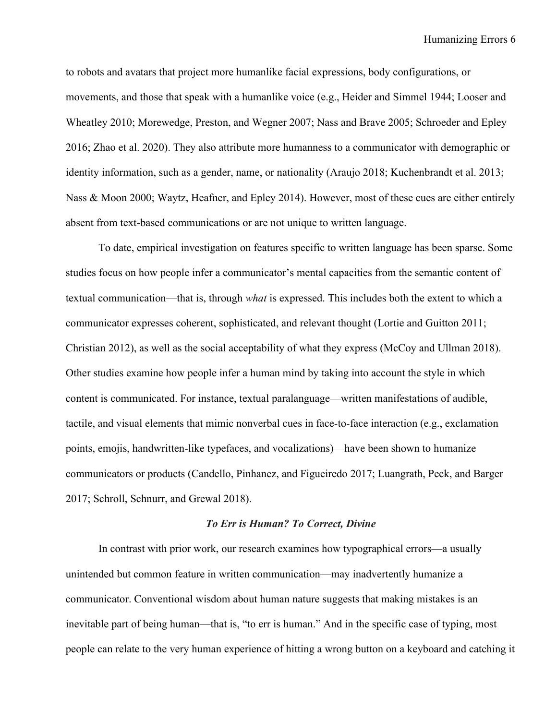to robots and avatars that project more humanlike facial expressions, body configurations, or movements, and those that speak with a humanlike voice (e.g., Heider and Simmel 1944; Looser and Wheatley 2010; Morewedge, Preston, and Wegner 2007; Nass and Brave 2005; Schroeder and Epley 2016; Zhao et al. 2020). They also attribute more humanness to a communicator with demographic or identity information, such as a gender, name, or nationality (Araujo 2018; Kuchenbrandt et al. 2013; Nass & Moon 2000; Waytz, Heafner, and Epley 2014). However, most of these cues are either entirely absent from text-based communications or are not unique to written language.

To date, empirical investigation on features specific to written language has been sparse. Some studies focus on how people infer a communicator's mental capacities from the semantic content of textual communication—that is, through *what* is expressed. This includes both the extent to which a communicator expresses coherent, sophisticated, and relevant thought (Lortie and Guitton 2011; Christian 2012), as well as the social acceptability of what they express (McCoy and Ullman 2018). Other studies examine how people infer a human mind by taking into account the style in which content is communicated. For instance, textual paralanguage—written manifestations of audible, tactile, and visual elements that mimic nonverbal cues in face-to-face interaction (e.g., exclamation points, emojis, handwritten-like typefaces, and vocalizations)—have been shown to humanize communicators or products (Candello, Pinhanez, and Figueiredo 2017; Luangrath, Peck, and Barger 2017; Schroll, Schnurr, and Grewal 2018).

#### *To Err is Human? To Correct, Divine*

In contrast with prior work, our research examines how typographical errors—a usually unintended but common feature in written communication—may inadvertently humanize a communicator. Conventional wisdom about human nature suggests that making mistakes is an inevitable part of being human—that is, "to err is human." And in the specific case of typing, most people can relate to the very human experience of hitting a wrong button on a keyboard and catching it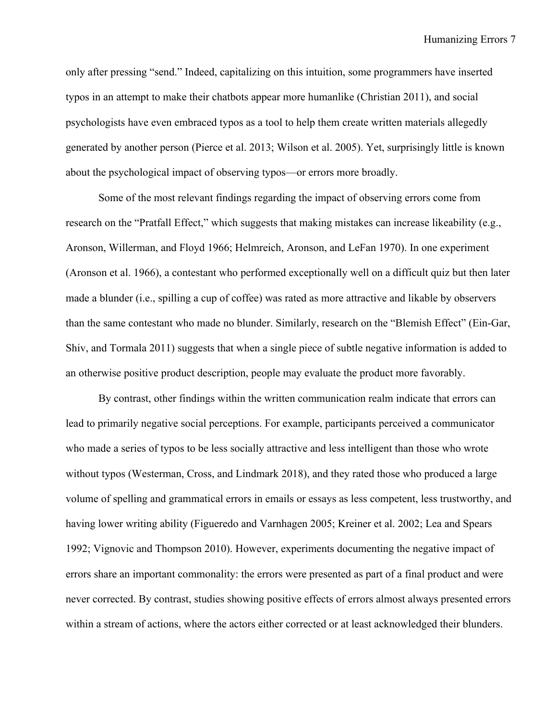only after pressing "send." Indeed, capitalizing on this intuition, some programmers have inserted typos in an attempt to make their chatbots appear more humanlike (Christian 2011), and social psychologists have even embraced typos as a tool to help them create written materials allegedly generated by another person (Pierce et al. 2013; Wilson et al. 2005). Yet, surprisingly little is known about the psychological impact of observing typos—or errors more broadly.

Some of the most relevant findings regarding the impact of observing errors come from research on the "Pratfall Effect," which suggests that making mistakes can increase likeability (e.g., Aronson, Willerman, and Floyd 1966; Helmreich, Aronson, and LeFan 1970). In one experiment (Aronson et al. 1966), a contestant who performed exceptionally well on a difficult quiz but then later made a blunder (i.e., spilling a cup of coffee) was rated as more attractive and likable by observers than the same contestant who made no blunder. Similarly, research on the "Blemish Effect" (Ein-Gar, Shiv, and Tormala 2011) suggests that when a single piece of subtle negative information is added to an otherwise positive product description, people may evaluate the product more favorably.

By contrast, other findings within the written communication realm indicate that errors can lead to primarily negative social perceptions. For example, participants perceived a communicator who made a series of typos to be less socially attractive and less intelligent than those who wrote without typos (Westerman, Cross, and Lindmark 2018), and they rated those who produced a large volume of spelling and grammatical errors in emails or essays as less competent, less trustworthy, and having lower writing ability (Figueredo and Varnhagen 2005; Kreiner et al. 2002; Lea and Spears 1992; Vignovic and Thompson 2010). However, experiments documenting the negative impact of errors share an important commonality: the errors were presented as part of a final product and were never corrected. By contrast, studies showing positive effects of errors almost always presented errors within a stream of actions, where the actors either corrected or at least acknowledged their blunders.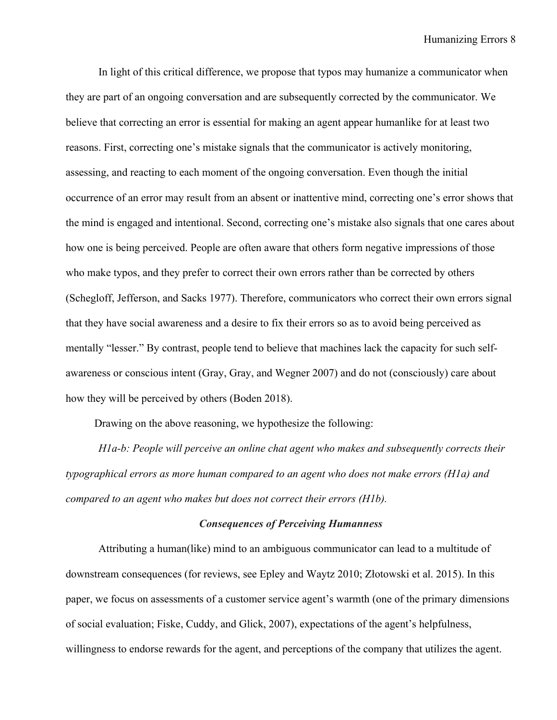In light of this critical difference, we propose that typos may humanize a communicator when they are part of an ongoing conversation and are subsequently corrected by the communicator. We believe that correcting an error is essential for making an agent appear humanlike for at least two reasons. First, correcting one's mistake signals that the communicator is actively monitoring, assessing, and reacting to each moment of the ongoing conversation. Even though the initial occurrence of an error may result from an absent or inattentive mind, correcting one's error shows that the mind is engaged and intentional. Second, correcting one's mistake also signals that one cares about how one is being perceived. People are often aware that others form negative impressions of those who make typos, and they prefer to correct their own errors rather than be corrected by others (Schegloff, Jefferson, and Sacks 1977). Therefore, communicators who correct their own errors signal that they have social awareness and a desire to fix their errors so as to avoid being perceived as mentally "lesser." By contrast, people tend to believe that machines lack the capacity for such selfawareness or conscious intent (Gray, Gray, and Wegner 2007) and do not (consciously) care about how they will be perceived by others (Boden 2018).

Drawing on the above reasoning, we hypothesize the following:

*H1a-b: People will perceive an online chat agent who makes and subsequently corrects their typographical errors as more human compared to an agent who does not make errors (H1a) and compared to an agent who makes but does not correct their errors (H1b).*

#### *Consequences of Perceiving Humanness*

Attributing a human(like) mind to an ambiguous communicator can lead to a multitude of downstream consequences (for reviews, see Epley and Waytz 2010; Złotowski et al. 2015). In this paper, we focus on assessments of a customer service agent's warmth (one of the primary dimensions of social evaluation; Fiske, Cuddy, and Glick, 2007), expectations of the agent's helpfulness, willingness to endorse rewards for the agent, and perceptions of the company that utilizes the agent.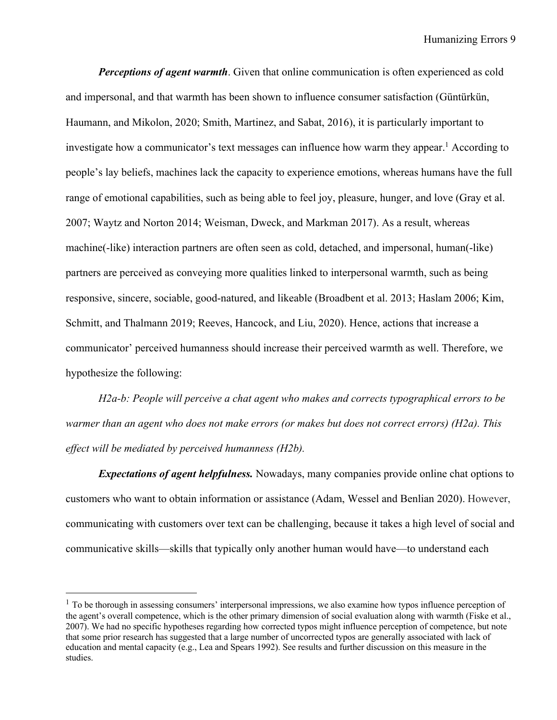*Perceptions of agent warmth*. Given that online communication is often experienced as cold and impersonal, and that warmth has been shown to influence consumer satisfaction (Güntürkün, Haumann, and Mikolon, 2020; Smith, Martinez, and Sabat, 2016), it is particularly important to investigate how a communicator's text messages can influence how warm they appear. <sup>1</sup> According to people's lay beliefs, machines lack the capacity to experience emotions, whereas humans have the full range of emotional capabilities, such as being able to feel joy, pleasure, hunger, and love (Gray et al. 2007; Waytz and Norton 2014; Weisman, Dweck, and Markman 2017). As a result, whereas machine(-like) interaction partners are often seen as cold, detached, and impersonal, human(-like) partners are perceived as conveying more qualities linked to interpersonal warmth, such as being responsive, sincere, sociable, good-natured, and likeable (Broadbent et al. 2013; Haslam 2006; Kim, Schmitt, and Thalmann 2019; Reeves, Hancock, and Liu, 2020). Hence, actions that increase a communicator' perceived humanness should increase their perceived warmth as well. Therefore, we hypothesize the following:

*H2a-b: People will perceive a chat agent who makes and corrects typographical errors to be warmer than an agent who does not make errors (or makes but does not correct errors) (H2a). This effect will be mediated by perceived humanness (H2b).*

*Expectations of agent helpfulness.* Nowadays, many companies provide online chat options to customers who want to obtain information or assistance (Adam, Wessel and Benlian 2020). However, communicating with customers over text can be challenging, because it takes a high level of social and communicative skills—skills that typically only another human would have—to understand each

 $<sup>1</sup>$  To be thorough in assessing consumers' interpersonal impressions, we also examine how typos influence perception of</sup> the agent's overall competence, which is the other primary dimension of social evaluation along with warmth (Fiske et al., 2007). We had no specific hypotheses regarding how corrected typos might influence perception of competence, but note that some prior research has suggested that a large number of uncorrected typos are generally associated with lack of education and mental capacity (e.g., Lea and Spears 1992). See results and further discussion on this measure in the studies.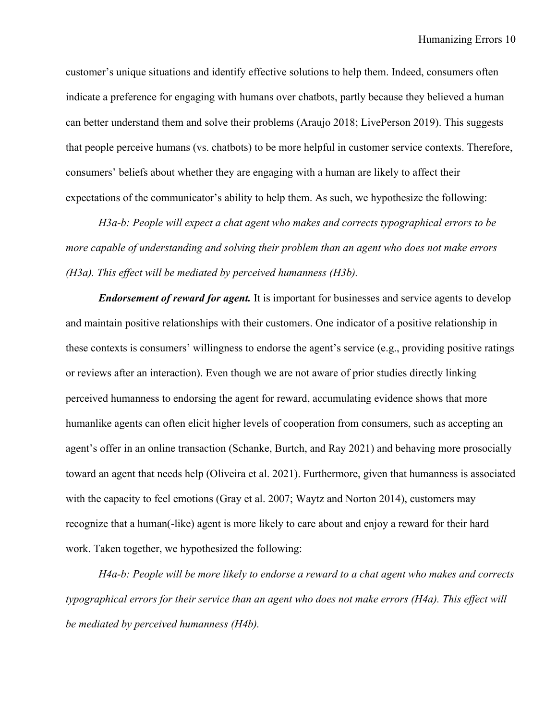customer's unique situations and identify effective solutions to help them. Indeed, consumers often indicate a preference for engaging with humans over chatbots, partly because they believed a human can better understand them and solve their problems (Araujo 2018; LivePerson 2019). This suggests that people perceive humans (vs. chatbots) to be more helpful in customer service contexts. Therefore, consumers' beliefs about whether they are engaging with a human are likely to affect their expectations of the communicator's ability to help them. As such, we hypothesize the following:

*H3a-b: People will expect a chat agent who makes and corrects typographical errors to be more capable of understanding and solving their problem than an agent who does not make errors (H3a). This effect will be mediated by perceived humanness (H3b).*

*Endorsement of reward for agent.* It is important for businesses and service agents to develop and maintain positive relationships with their customers. One indicator of a positive relationship in these contexts is consumers' willingness to endorse the agent's service (e.g., providing positive ratings or reviews after an interaction). Even though we are not aware of prior studies directly linking perceived humanness to endorsing the agent for reward, accumulating evidence shows that more humanlike agents can often elicit higher levels of cooperation from consumers, such as accepting an agent's offer in an online transaction (Schanke, Burtch, and Ray 2021) and behaving more prosocially toward an agent that needs help (Oliveira et al. 2021). Furthermore, given that humanness is associated with the capacity to feel emotions (Gray et al. 2007; Waytz and Norton 2014), customers may recognize that a human(-like) agent is more likely to care about and enjoy a reward for their hard work. Taken together, we hypothesized the following:

*H4a-b: People will be more likely to endorse a reward to a chat agent who makes and corrects typographical errors for their service than an agent who does not make errors (H4a). This effect will be mediated by perceived humanness (H4b).*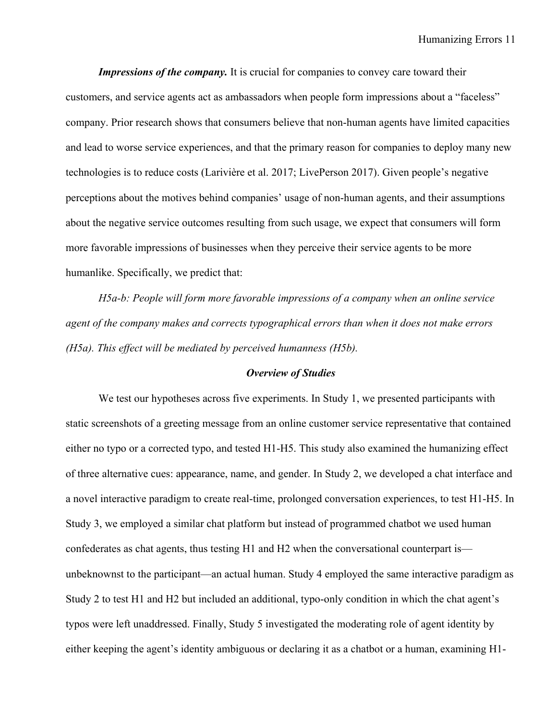*Impressions of the company.* It is crucial for companies to convey care toward their customers, and service agents act as ambassadors when people form impressions about a "faceless" company. Prior research shows that consumers believe that non-human agents have limited capacities and lead to worse service experiences, and that the primary reason for companies to deploy many new technologies is to reduce costs (Larivière et al. 2017; LivePerson 2017). Given people's negative perceptions about the motives behind companies' usage of non-human agents, and their assumptions about the negative service outcomes resulting from such usage, we expect that consumers will form more favorable impressions of businesses when they perceive their service agents to be more humanlike. Specifically, we predict that:

*H5a-b: People will form more favorable impressions of a company when an online service agent of the company makes and corrects typographical errors than when it does not make errors (H5a). This effect will be mediated by perceived humanness (H5b).*

### *Overview of Studies*

We test our hypotheses across five experiments. In Study 1, we presented participants with static screenshots of a greeting message from an online customer service representative that contained either no typo or a corrected typo, and tested H1-H5. This study also examined the humanizing effect of three alternative cues: appearance, name, and gender. In Study 2, we developed a chat interface and a novel interactive paradigm to create real-time, prolonged conversation experiences, to test H1-H5. In Study 3, we employed a similar chat platform but instead of programmed chatbot we used human confederates as chat agents, thus testing H1 and H2 when the conversational counterpart is unbeknownst to the participant—an actual human. Study 4 employed the same interactive paradigm as Study 2 to test H1 and H2 but included an additional, typo-only condition in which the chat agent's typos were left unaddressed. Finally, Study 5 investigated the moderating role of agent identity by either keeping the agent's identity ambiguous or declaring it as a chatbot or a human, examining H1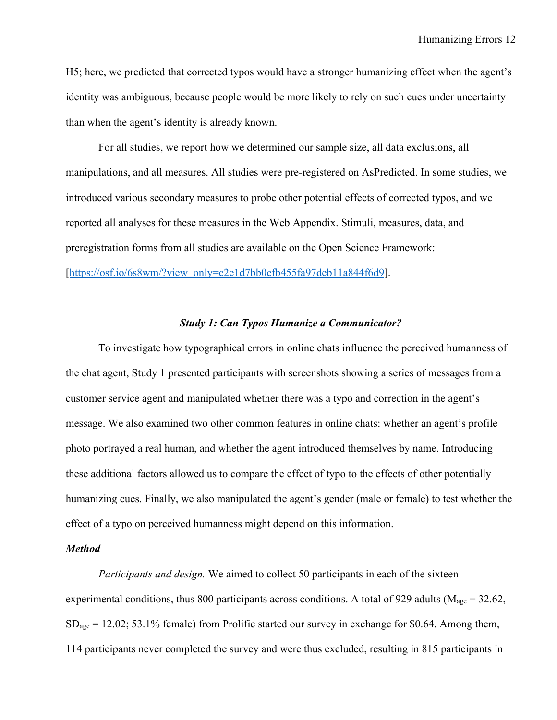H5; here, we predicted that corrected typos would have a stronger humanizing effect when the agent's identity was ambiguous, because people would be more likely to rely on such cues under uncertainty than when the agent's identity is already known.

For all studies, we report how we determined our sample size, all data exclusions, all manipulations, and all measures. All studies were pre-registered on AsPredicted. In some studies, we introduced various secondary measures to probe other potential effects of corrected typos, and we reported all analyses for these measures in the Web Appendix. Stimuli, measures, data, and preregistration forms from all studies are available on the Open Science Framework: [https://osf.io/6s8wm/?view\_only=c2e1d7bb0efb455fa97deb11a844f6d9].

# *Study 1: Can Typos Humanize a Communicator?*

To investigate how typographical errors in online chats influence the perceived humanness of the chat agent, Study 1 presented participants with screenshots showing a series of messages from a customer service agent and manipulated whether there was a typo and correction in the agent's message. We also examined two other common features in online chats: whether an agent's profile photo portrayed a real human, and whether the agent introduced themselves by name. Introducing these additional factors allowed us to compare the effect of typo to the effects of other potentially humanizing cues. Finally, we also manipulated the agent's gender (male or female) to test whether the effect of a typo on perceived humanness might depend on this information.

## *Method*

*Participants and design.* We aimed to collect 50 participants in each of the sixteen experimental conditions, thus 800 participants across conditions. A total of 929 adults ( $M_{\text{age}} = 32.62$ ,  $SD<sub>age</sub> = 12.02$ ; 53.1% female) from Prolific started our survey in exchange for \$0.64. Among them, 114 participants never completed the survey and were thus excluded, resulting in 815 participants in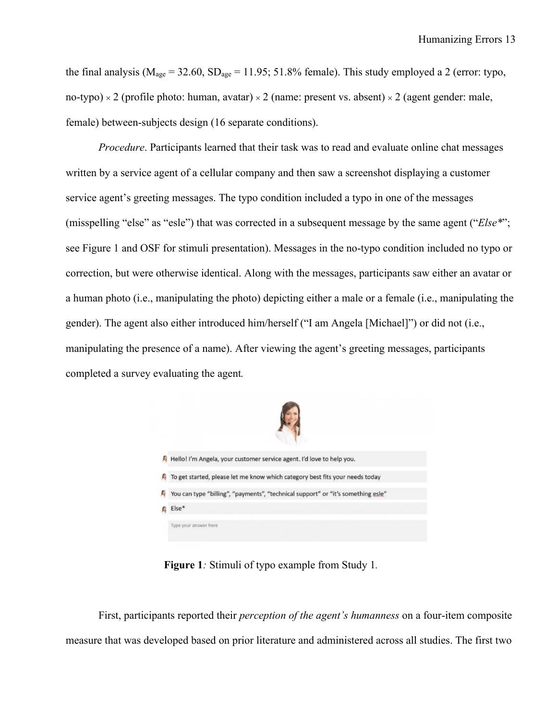the final analysis ( $M_{\text{age}} = 32.60$ ,  $SD_{\text{age}} = 11.95$ ; 51.8% female). This study employed a 2 (error: typo, no-typo)  $\times$  2 (profile photo: human, avatar)  $\times$  2 (name: present vs. absent)  $\times$  2 (agent gender: male, female) between-subjects design (16 separate conditions).

*Procedure*. Participants learned that their task was to read and evaluate online chat messages written by a service agent of a cellular company and then saw a screenshot displaying a customer service agent's greeting messages. The typo condition included a typo in one of the messages (misspelling "else" as "esle") that was corrected in a subsequent message by the same agent ("*Else\**"; see Figure 1 and OSF for stimuli presentation). Messages in the no-typo condition included no typo or correction, but were otherwise identical. Along with the messages, participants saw either an avatar or a human photo (i.e., manipulating the photo) depicting either a male or a female (i.e., manipulating the gender). The agent also either introduced him/herself ("I am Angela [Michael]") or did not (i.e., manipulating the presence of a name). After viewing the agent's greeting messages, participants completed a survey evaluating the agent*.*



**Figure 1***:* Stimuli of typo example from Study 1*.*

First, participants reported their *perception of the agent's humanness* on a four-item composite measure that was developed based on prior literature and administered across all studies. The first two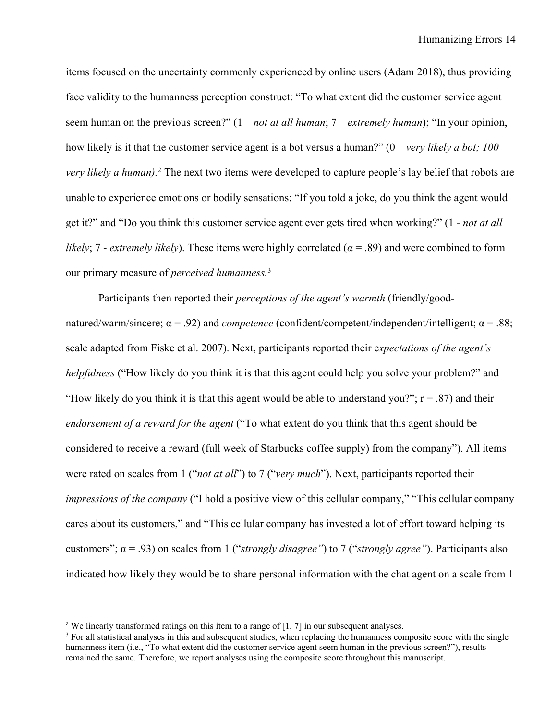items focused on the uncertainty commonly experienced by online users (Adam 2018), thus providing face validity to the humanness perception construct: "To what extent did the customer service agent seem human on the previous screen?" (1 – *not at all human*; 7 – *extremely human*); "In your opinion, how likely is it that the customer service agent is a bot versus a human?" (0 – *very likely a bot; 100 – very likely a human).* <sup>2</sup> The next two items were developed to capture people's lay belief that robots are unable to experience emotions or bodily sensations: "If you told a joke, do you think the agent would get it?" and "Do you think this customer service agent ever gets tired when working?" (1 *- not at all likely*; 7 - *extremely likely*). These items were highly correlated ( $\alpha$  = .89) and were combined to form our primary measure of *perceived humanness.*<sup>3</sup>

Participants then reported their *perceptions of the agent's warmth* (friendly/goodnatured/warm/sincere; α = .92) and *competence* (confident/competent/independent/intelligent; α = .88; scale adapted from Fiske et al. 2007). Next, participants reported their e*xpectations of the agent's helpfulness* ("How likely do you think it is that this agent could help you solve your problem?" and "How likely do you think it is that this agent would be able to understand you?";  $r = .87$ ) and their *endorsement of a reward for the agent* ("To what extent do you think that this agent should be considered to receive a reward (full week of Starbucks coffee supply) from the company"). All items were rated on scales from 1 ("*not at all*") to 7 ("*very much*"). Next, participants reported their *impressions of the company* ("I hold a positive view of this cellular company," "This cellular company cares about its customers," and "This cellular company has invested a lot of effort toward helping its customers"; α = .93) on scales from 1 ("*strongly disagree"*) to 7 ("*strongly agree"*). Participants also indicated how likely they would be to share personal information with the chat agent on a scale from 1

<sup>&</sup>lt;sup>2</sup> We linearly transformed ratings on this item to a range of  $[1, 7]$  in our subsequent analyses.

<sup>&</sup>lt;sup>3</sup> For all statistical analyses in this and subsequent studies, when replacing the humanness composite score with the single humanness item (i.e., "To what extent did the customer service agent seem human in the previous screen?"), results remained the same. Therefore, we report analyses using the composite score throughout this manuscript.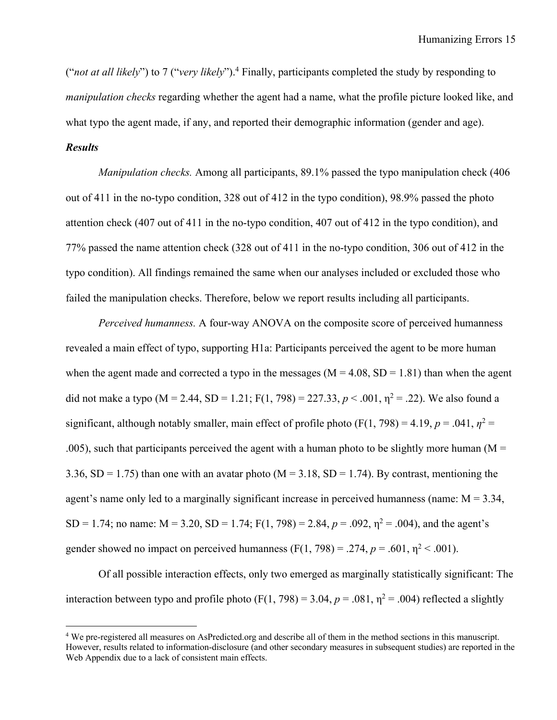("*not at all likely*") to 7 ("*very likely*"). <sup>4</sup> Finally, participants completed the study by responding to *manipulation checks* regarding whether the agent had a name, what the profile picture looked like, and what typo the agent made, if any, and reported their demographic information (gender and age).

# *Results*

*Manipulation checks.* Among all participants, 89.1% passed the typo manipulation check (406 out of 411 in the no-typo condition, 328 out of 412 in the typo condition), 98.9% passed the photo attention check (407 out of 411 in the no-typo condition, 407 out of 412 in the typo condition), and 77% passed the name attention check (328 out of 411 in the no-typo condition, 306 out of 412 in the typo condition). All findings remained the same when our analyses included or excluded those who failed the manipulation checks. Therefore, below we report results including all participants.

*Perceived humanness.* A four-way ANOVA on the composite score of perceived humanness revealed a main effect of typo, supporting H1a: Participants perceived the agent to be more human when the agent made and corrected a typo in the messages ( $M = 4.08$ ,  $SD = 1.81$ ) than when the agent did not make a typo ( $M = 2.44$ ,  $SD = 1.21$ ;  $F(1, 798) = 227.33$ ,  $p < .001$ ,  $\eta^2 = .22$ ). We also found a significant, although notably smaller, main effect of profile photo (F(1, 798) = 4.19,  $p = .041$ ,  $\eta^2 =$ .005), such that participants perceived the agent with a human photo to be slightly more human ( $M =$ 3.36, SD = 1.75) than one with an avatar photo ( $M = 3.18$ , SD = 1.74). By contrast, mentioning the agent's name only led to a marginally significant increase in perceived humanness (name:  $M = 3.34$ , SD = 1.74; no name:  $M = 3.20$ , SD = 1.74;  $F(1, 798) = 2.84$ ,  $p = .092$ ,  $\eta^2 = .004$ ), and the agent's gender showed no impact on perceived humanness  $(F(1, 798) = .274, p = .601, \eta^2 < .001)$ .

Of all possible interaction effects, only two emerged as marginally statistically significant: The interaction between typo and profile photo (F(1, 798) = 3.04,  $p = .081$ ,  $\eta^2 = .004$ ) reflected a slightly

<sup>4</sup> We pre-registered all measures on AsPredicted.org and describe all of them in the method sections in this manuscript. However, results related to information-disclosure (and other secondary measures in subsequent studies) are reported in the Web Appendix due to a lack of consistent main effects.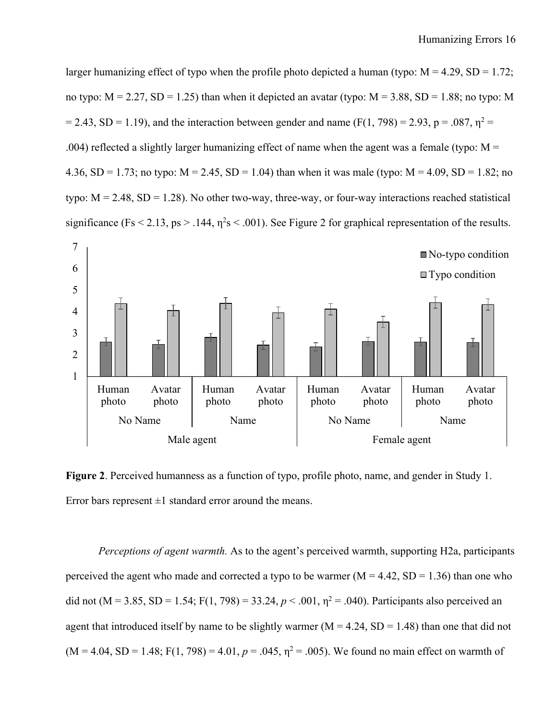larger humanizing effect of typo when the profile photo depicted a human (typo:  $M = 4.29$ ,  $SD = 1.72$ ; no typo:  $M = 2.27$ ,  $SD = 1.25$ ) than when it depicted an avatar (typo:  $M = 3.88$ ,  $SD = 1.88$ ; no typo: M  $= 2.43$ , SD = 1.19), and the interaction between gender and name (F(1, 798) = 2.93, p = .087,  $n^2 =$ .004) reflected a slightly larger humanizing effect of name when the agent was a female (typo:  $M =$ 4.36, SD = 1.73; no typo:  $M = 2.45$ , SD = 1.04) than when it was male (typo:  $M = 4.09$ , SD = 1.82; no typo:  $M = 2.48$ , SD = 1.28). No other two-way, three-way, or four-way interactions reached statistical significance (Fs < 2.13, ps > .144,  $\eta^2$ s < .001). See Figure 2 for graphical representation of the results.



**Figure 2**. Perceived humanness as a function of typo, profile photo, name, and gender in Study 1. Error bars represent  $\pm 1$  standard error around the means.

*Perceptions of agent warmth.* As to the agent's perceived warmth, supporting H2a, participants perceived the agent who made and corrected a typo to be warmer  $(M = 4.42, SD = 1.36)$  than one who did not (M = 3.85, SD = 1.54; F(1, 798) = 33.24,  $p < .001$ ,  $\eta^2 = .040$ ). Participants also perceived an agent that introduced itself by name to be slightly warmer ( $M = 4.24$ , SD = 1.48) than one that did not  $(M = 4.04, SD = 1.48; F(1, 798) = 4.01, p = .045, \eta^2 = .005)$ . We found no main effect on warmth of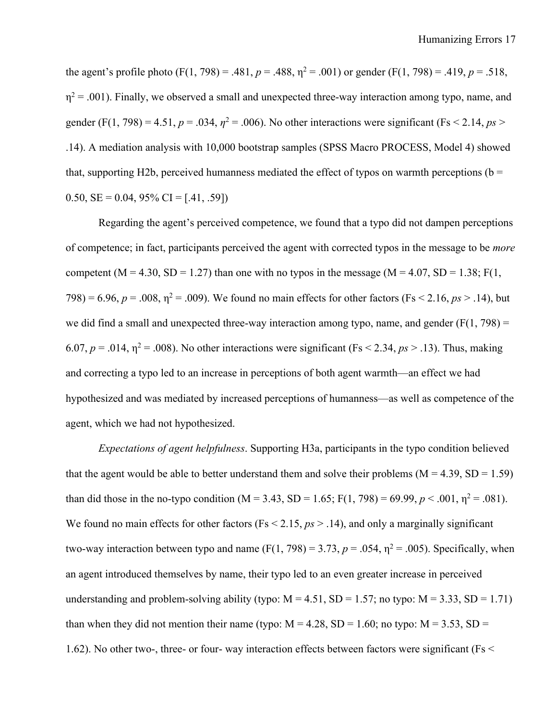the agent's profile photo (F(1, 798) = .481,  $p = .488$ ,  $\eta^2 = .001$ ) or gender (F(1, 798) = .419,  $p = .518$ ,  $\eta^2$  = .001). Finally, we observed a small and unexpected three-way interaction among typo, name, and gender (F(1, 798) = 4.51,  $p = .034$ ,  $\eta^2 = .006$ ). No other interactions were significant (Fs < 2.14,  $ps >$ .14). A mediation analysis with 10,000 bootstrap samples (SPSS Macro PROCESS, Model 4) showed that, supporting H2b, perceived humanness mediated the effect of typos on warmth perceptions ( $b =$ 0.50,  $SE = 0.04$ ,  $95\%$  CI = [.41, .59])

Regarding the agent's perceived competence, we found that a typo did not dampen perceptions of competence; in fact, participants perceived the agent with corrected typos in the message to be *more* competent (M = 4.30, SD = 1.27) than one with no typos in the message (M = 4.07, SD = 1.38; F(1, 798) = 6.96,  $p = .008$ ,  $\eta^2 = .009$ ). We found no main effects for other factors (Fs < 2.16,  $ps > .14$ ), but we did find a small and unexpected three-way interaction among typo, name, and gender ( $F(1, 798) =$ 6.07,  $p = .014$ ,  $\eta^2 = .008$ ). No other interactions were significant (Fs < 2.34,  $ps > .13$ ). Thus, making and correcting a typo led to an increase in perceptions of both agent warmth—an effect we had hypothesized and was mediated by increased perceptions of humanness—as well as competence of the agent, which we had not hypothesized.

*Expectations of agent helpfulness*. Supporting H3a, participants in the typo condition believed that the agent would be able to better understand them and solve their problems  $(M = 4.39, SD = 1.59)$ than did those in the no-typo condition (M = 3.43, SD = 1.65; F(1, 798) = 69.99,  $p < .001$ ,  $p<sup>2</sup> = .081$ ). We found no main effects for other factors ( $Fs < 2.15$ ,  $ps > .14$ ), and only a marginally significant two-way interaction between typo and name  $(F(1, 798) = 3.73, p = .054, \eta^2 = .005)$ . Specifically, when an agent introduced themselves by name, their typo led to an even greater increase in perceived understanding and problem-solving ability (typo:  $M = 4.51$ , SD = 1.57; no typo:  $M = 3.33$ , SD = 1.71) than when they did not mention their name (typo:  $M = 4.28$ , SD = 1.60; no typo:  $M = 3.53$ , SD = 1.62). No other two-, three- or four- way interaction effects between factors were significant (Fs <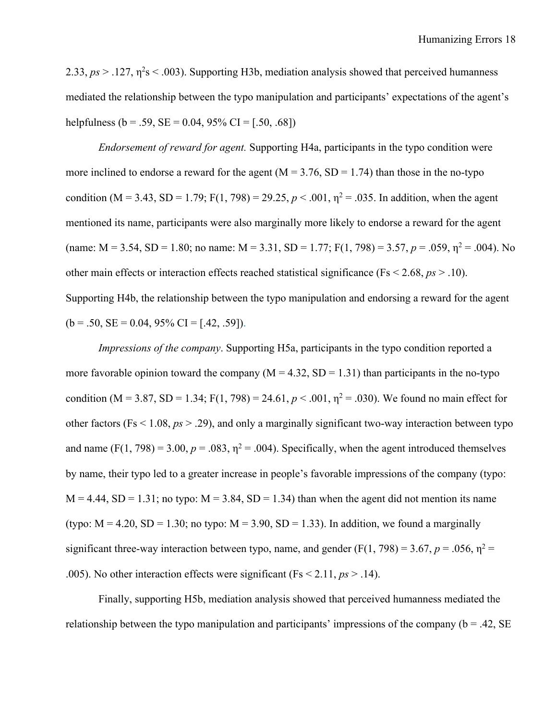2.33,  $ps > 0.127$ ,  $\eta^2 s < 0.003$ ). Supporting H3b, mediation analysis showed that perceived humanness mediated the relationship between the typo manipulation and participants' expectations of the agent's helpfulness (b = .59, SE = 0.04, 95% CI = [.50, .68])

*Endorsement of reward for agent.* Supporting H4a, participants in the typo condition were more inclined to endorse a reward for the agent  $(M = 3.76, SD = 1.74)$  than those in the no-typo condition (M = 3.43, SD = 1.79; F(1, 798) = 29.25,  $p < .001$ ,  $p<sup>2</sup> = .035$ . In addition, when the agent mentioned its name, participants were also marginally more likely to endorse a reward for the agent (name:  $M = 3.54$ ,  $SD = 1.80$ ; no name:  $M = 3.31$ ,  $SD = 1.77$ ;  $F(1, 798) = 3.57$ ,  $p = .059$ ,  $\eta^2 = .004$ ). No other main effects or interaction effects reached statistical significance (Fs < 2.68, *ps* > .10). Supporting H4b, the relationship between the typo manipulation and endorsing a reward for the agent  $(b = .50, SE = 0.04, 95\% \text{ CI} = [.42, .59]).$ 

*Impressions of the company*. Supporting H5a, participants in the typo condition reported a more favorable opinion toward the company  $(M = 4.32, SD = 1.31)$  than participants in the no-typo condition (M = 3.87, SD = 1.34; F(1, 798) = 24.61,  $p < .001$ ,  $\eta^2 = .030$ ). We found no main effect for other factors (Fs < 1.08, *ps* > .29), and only a marginally significant two-way interaction between typo and name  $(F(1, 798) = 3.00, p = .083, \eta^2 = .004)$ . Specifically, when the agent introduced themselves by name, their typo led to a greater increase in people's favorable impressions of the company (typo:  $M = 4.44$ , SD = 1.31; no typo:  $M = 3.84$ , SD = 1.34) than when the agent did not mention its name (typo:  $M = 4.20$ ,  $SD = 1.30$ ; no typo:  $M = 3.90$ ,  $SD = 1.33$ ). In addition, we found a marginally significant three-way interaction between typo, name, and gender  $(F(1, 798) = 3.67, p = .056, \eta^2 =$ .005). No other interaction effects were significant (Fs < 2.11, *ps* > .14).

Finally, supporting H5b, mediation analysis showed that perceived humanness mediated the relationship between the typo manipulation and participants' impressions of the company ( $b = .42$ , SE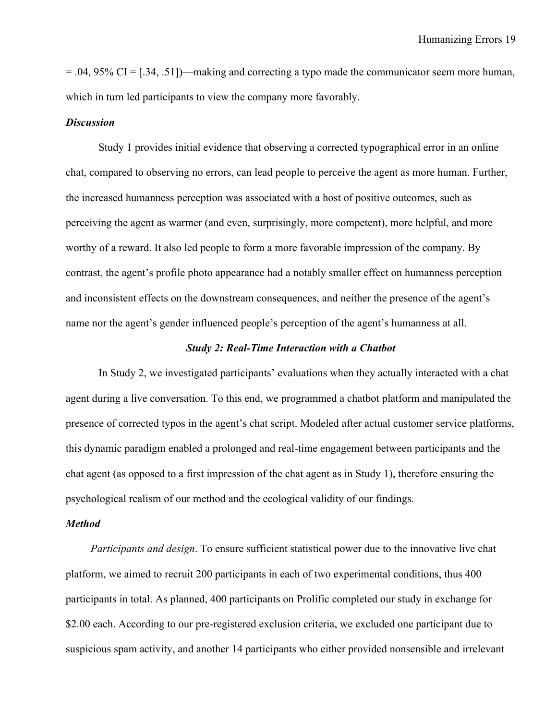$= .04, 95\% \text{ CI} = [.34, .51]$ —making and correcting a typo made the communicator seem more human, which in turn led participants to view the company more favorably.

#### *Discussion*

Study 1 provides initial evidence that observing a corrected typographical error in an online chat, compared to observing no errors, can lead people to perceive the agent as more human. Further, the increased humanness perception was associated with a host of positive outcomes, such as perceiving the agent as warmer (and even, surprisingly, more competent), more helpful, and more worthy of a reward. It also led people to form a more favorable impression of the company. By contrast, the agent's profile photo appearance had a notably smaller effect on humanness perception and inconsistent effects on the downstream consequences, and neither the presence of the agent's name nor the agent's gender influenced people's perception of the agent's humanness at all.

## *Study 2: Real-Time Interaction with a Chatbot*

In Study 2, we investigated participants' evaluations when they actually interacted with a chat agent during a live conversation. To this end, we programmed a chatbot platform and manipulated the presence of corrected typos in the agent's chat script. Modeled after actual customer service platforms, this dynamic paradigm enabled a prolonged and real-time engagement between participants and the chat agent (as opposed to a first impression of the chat agent as in Study 1), therefore ensuring the psychological realism of our method and the ecological validity of our findings.

#### *Method*

*Participants and design*. To ensure sufficient statistical power due to the innovative live chat platform, we aimed to recruit 200 participants in each of two experimental conditions, thus 400 participants in total. As planned, 400 participants on Prolific completed our study in exchange for \$2.00 each. According to our pre-registered exclusion criteria, we excluded one participant due to suspicious spam activity, and another 14 participants who either provided nonsensible and irrelevant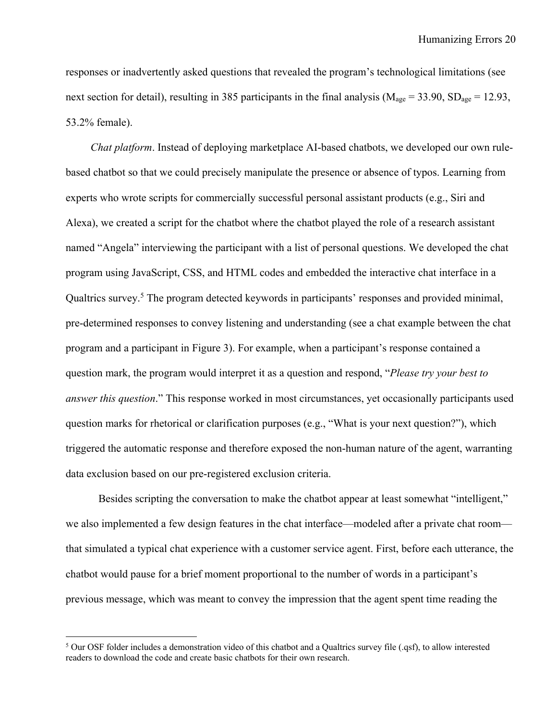responses or inadvertently asked questions that revealed the program's technological limitations (see next section for detail), resulting in 385 participants in the final analysis ( $M_{\text{age}} = 33.90$ ,  $SD_{\text{age}} = 12.93$ , 53.2% female).

*Chat platform*. Instead of deploying marketplace AI-based chatbots, we developed our own rulebased chatbot so that we could precisely manipulate the presence or absence of typos. Learning from experts who wrote scripts for commercially successful personal assistant products (e.g., Siri and Alexa), we created a script for the chatbot where the chatbot played the role of a research assistant named "Angela" interviewing the participant with a list of personal questions. We developed the chat program using JavaScript, CSS, and HTML codes and embedded the interactive chat interface in a Qualtrics survey. <sup>5</sup> The program detected keywords in participants' responses and provided minimal, pre-determined responses to convey listening and understanding (see a chat example between the chat program and a participant in Figure 3). For example, when a participant's response contained a question mark, the program would interpret it as a question and respond, "*Please try your best to answer this question*." This response worked in most circumstances, yet occasionally participants used question marks for rhetorical or clarification purposes (e.g., "What is your next question?"), which triggered the automatic response and therefore exposed the non-human nature of the agent, warranting data exclusion based on our pre-registered exclusion criteria.

Besides scripting the conversation to make the chatbot appear at least somewhat "intelligent," we also implemented a few design features in the chat interface—modeled after a private chat room that simulated a typical chat experience with a customer service agent. First, before each utterance, the chatbot would pause for a brief moment proportional to the number of words in a participant's previous message, which was meant to convey the impression that the agent spent time reading the

<sup>&</sup>lt;sup>5</sup> Our OSF folder includes a demonstration video of this chatbot and a Qualtrics survey file (.qsf), to allow interested readers to download the code and create basic chatbots for their own research.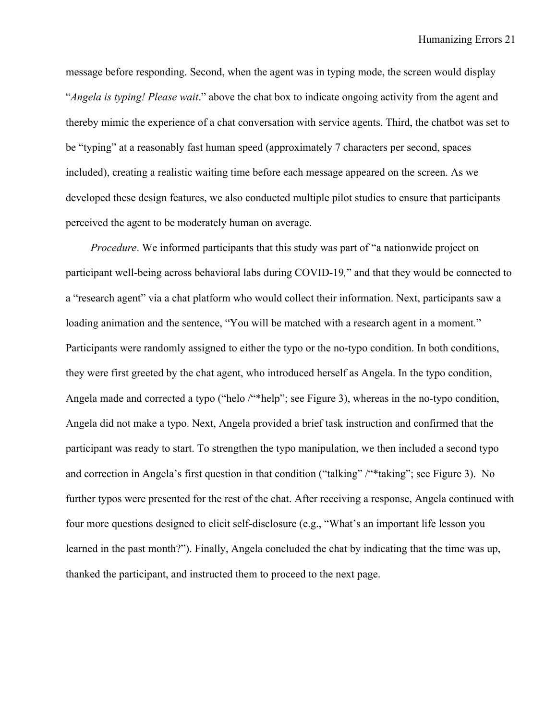message before responding. Second, when the agent was in typing mode, the screen would display "*Angela is typing! Please wait*." above the chat box to indicate ongoing activity from the agent and thereby mimic the experience of a chat conversation with service agents. Third, the chatbot was set to be "typing" at a reasonably fast human speed (approximately 7 characters per second, spaces included), creating a realistic waiting time before each message appeared on the screen. As we developed these design features, we also conducted multiple pilot studies to ensure that participants perceived the agent to be moderately human on average.

*Procedure*. We informed participants that this study was part of "a nationwide project on participant well-being across behavioral labs during COVID-19*,*" and that they would be connected to a "research agent" via a chat platform who would collect their information. Next, participants saw a loading animation and the sentence, "You will be matched with a research agent in a moment*.*" Participants were randomly assigned to either the typo or the no-typo condition. In both conditions, they were first greeted by the chat agent, who introduced herself as Angela. In the typo condition, Angela made and corrected a typo ("helo /"\*help"; see Figure 3), whereas in the no-typo condition, Angela did not make a typo. Next, Angela provided a brief task instruction and confirmed that the participant was ready to start. To strengthen the typo manipulation, we then included a second typo and correction in Angela's first question in that condition ("talking" /"\*taking"; see Figure 3). No further typos were presented for the rest of the chat. After receiving a response, Angela continued with four more questions designed to elicit self-disclosure (e.g., "What's an important life lesson you learned in the past month?"). Finally, Angela concluded the chat by indicating that the time was up, thanked the participant, and instructed them to proceed to the next page.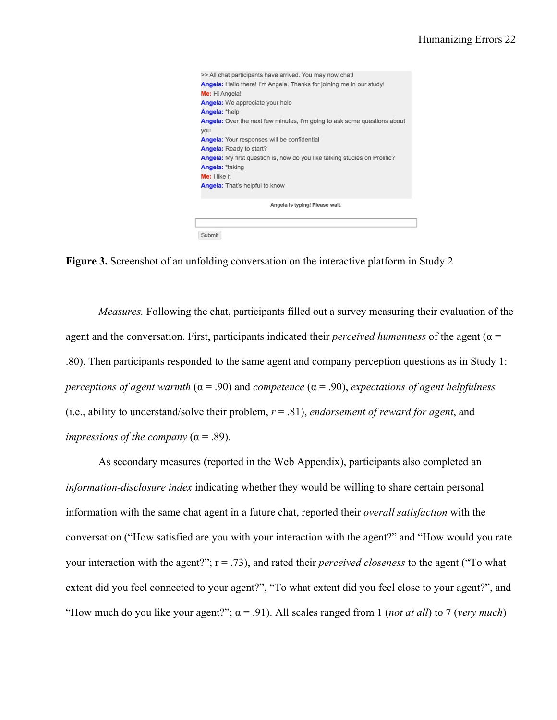| >> All chat participants have arrived. You may now chat!                          |  |
|-----------------------------------------------------------------------------------|--|
| Angela: Hello there! I'm Angela. Thanks for joining me in our study!              |  |
| Me: Hi Angela!                                                                    |  |
| <b>Angela:</b> We appreciate your helo                                            |  |
| Angela: *help                                                                     |  |
| <b>Angela:</b> Over the next few minutes, I'm going to ask some questions about   |  |
| you                                                                               |  |
| <b>Angela:</b> Your responses will be confidential                                |  |
| <b>Angela:</b> Ready to start?                                                    |  |
| <b>Angela:</b> My first question is, how do you like talking studies on Prolific? |  |
| Angela: *taking                                                                   |  |
| Me: I like it                                                                     |  |
| <b>Angela:</b> That's helpful to know                                             |  |
|                                                                                   |  |
| Angela is typing! Please wait.                                                    |  |
|                                                                                   |  |
|                                                                                   |  |
| Submit                                                                            |  |

**Figure 3.** Screenshot of an unfolding conversation on the interactive platform in Study 2

*Measures.* Following the chat, participants filled out a survey measuring their evaluation of the agent and the conversation. First, participants indicated their *perceived humanness* of the agent ( $\alpha$  = .80). Then participants responded to the same agent and company perception questions as in Study 1: *perceptions of agent warmth* (α = .90) and *competence* (α = .90), *expectations of agent helpfulness* (i.e., ability to understand/solve their problem,  $r = .81$ ), *endorsement of reward for agent*, and *impressions of the company*  $(\alpha = .89)$ .

As secondary measures (reported in the Web Appendix), participants also completed an *information-disclosure index* indicating whether they would be willing to share certain personal information with the same chat agent in a future chat, reported their *overall satisfaction* with the conversation ("How satisfied are you with your interaction with the agent?" and "How would you rate your interaction with the agent?"; r = .73), and rated their *perceived closeness* to the agent ("To what extent did you feel connected to your agent?", "To what extent did you feel close to your agent?", and "How much do you like your agent?";  $\alpha$  = .91). All scales ranged from 1 (*not at all*) to 7 (*very much*)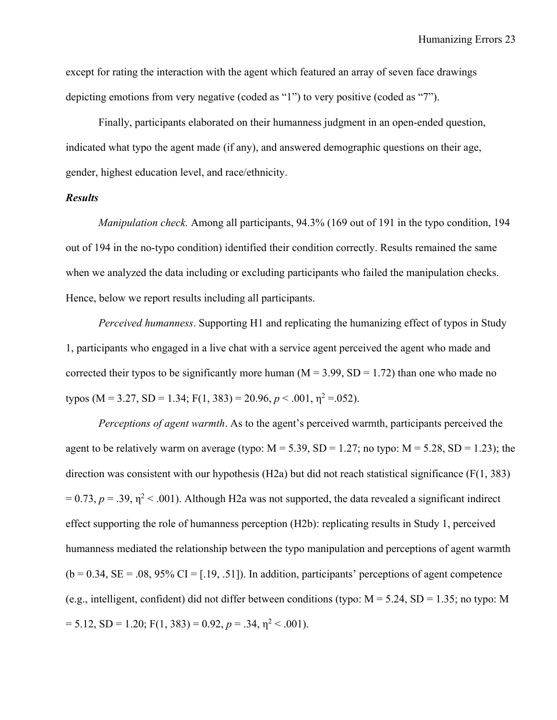except for rating the interaction with the agent which featured an array of seven face drawings depicting emotions from very negative (coded as "1") to very positive (coded as "7").

Finally, participants elaborated on their humanness judgment in an open-ended question, indicated what typo the agent made (if any), and answered demographic questions on their age, gender, highest education level, and race/ethnicity.

# *Results*

*Manipulation check.* Among all participants, 94.3% (169 out of 191 in the typo condition, 194 out of 194 in the no-typo condition) identified their condition correctly. Results remained the same when we analyzed the data including or excluding participants who failed the manipulation checks. Hence, below we report results including all participants.

*Perceived humanness*. Supporting H1 and replicating the humanizing effect of typos in Study 1, participants who engaged in a live chat with a service agent perceived the agent who made and corrected their typos to be significantly more human ( $M = 3.99$ ,  $SD = 1.72$ ) than one who made no typos (M = 3.27, SD = 1.34; F(1, 383) = 20.96,  $p < .001$ ,  $\eta^2 = .052$ ).

*Perceptions of agent warmth*. As to the agent's perceived warmth, participants perceived the agent to be relatively warm on average (typo:  $M = 5.39$ ,  $SD = 1.27$ ; no typo:  $M = 5.28$ ,  $SD = 1.23$ ); the direction was consistent with our hypothesis (H2a) but did not reach statistical significance (F(1, 383)  $= 0.73$ ,  $p = .39$ ,  $\eta^2 < .001$ ). Although H2a was not supported, the data revealed a significant indirect effect supporting the role of humanness perception (H2b): replicating results in Study 1, perceived humanness mediated the relationship between the typo manipulation and perceptions of agent warmth  $(b = 0.34, SE = .08, 95\% \text{ CI} = [.19, .51])$ . In addition, participants' perceptions of agent competence (e.g., intelligent, confident) did not differ between conditions (typo:  $M = 5.24$ , SD = 1.35; no typo: M  $= 5.12$ ,  $SD = 1.20$ ;  $F(1, 383) = 0.92$ ,  $p = .34$ ,  $\eta^2 < .001$ ).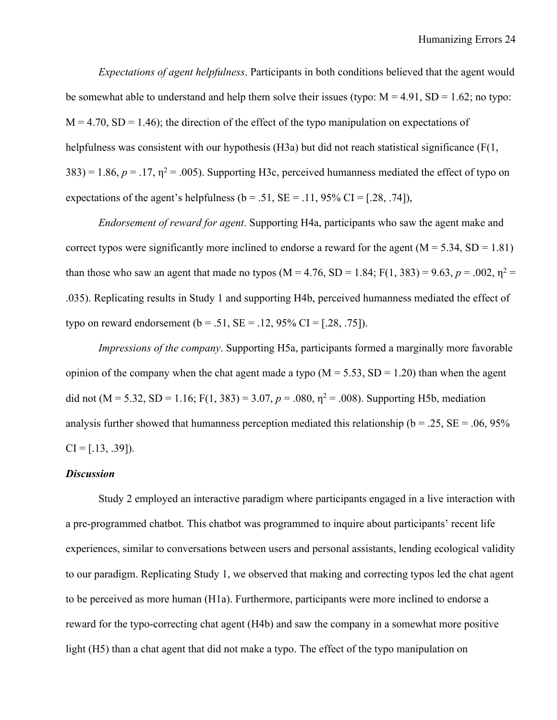*Expectations of agent helpfulness*. Participants in both conditions believed that the agent would be somewhat able to understand and help them solve their issues (typo:  $M = 4.91$ , SD = 1.62; no typo:  $M = 4.70$ ,  $SD = 1.46$ ; the direction of the effect of the typo manipulation on expectations of helpfulness was consistent with our hypothesis (H3a) but did not reach statistical significance (F(1,  $383$ ) = 1.86,  $p = 0.17$ ,  $\eta^2 = 0.005$ ). Supporting H3c, perceived humanness mediated the effect of typo on expectations of the agent's helpfulness ( $b = .51$ ,  $SE = .11$ ,  $95\%$  CI = [.28, .74]),

*Endorsement of reward for agent*. Supporting H4a, participants who saw the agent make and correct typos were significantly more inclined to endorse a reward for the agent  $(M = 5.34, SD = 1.81)$ than those who saw an agent that made no typos (M = 4.76, SD = 1.84; F(1, 383) = 9.63,  $p = .002$ ,  $\eta^2$  = .035). Replicating results in Study 1 and supporting H4b, perceived humanness mediated the effect of typo on reward endorsement  $(b = .51, SE = .12, 95\% \text{ CI} = [.28, .75]).$ 

*Impressions of the company*. Supporting H5a, participants formed a marginally more favorable opinion of the company when the chat agent made a typo  $(M = 5.53, SD = 1.20)$  than when the agent did not (M = 5.32, SD = 1.16; F(1, 383) = 3.07,  $p = .080$ ,  $\eta^2 = .008$ ). Supporting H5b, mediation analysis further showed that humanness perception mediated this relationship ( $b = .25$ ,  $SE = .06$ ,  $95\%$ )  $CI = [.13, .39]$ .

#### *Discussion*

Study 2 employed an interactive paradigm where participants engaged in a live interaction with a pre-programmed chatbot. This chatbot was programmed to inquire about participants' recent life experiences, similar to conversations between users and personal assistants, lending ecological validity to our paradigm. Replicating Study 1, we observed that making and correcting typos led the chat agent to be perceived as more human (H1a). Furthermore, participants were more inclined to endorse a reward for the typo-correcting chat agent (H4b) and saw the company in a somewhat more positive light (H5) than a chat agent that did not make a typo. The effect of the typo manipulation on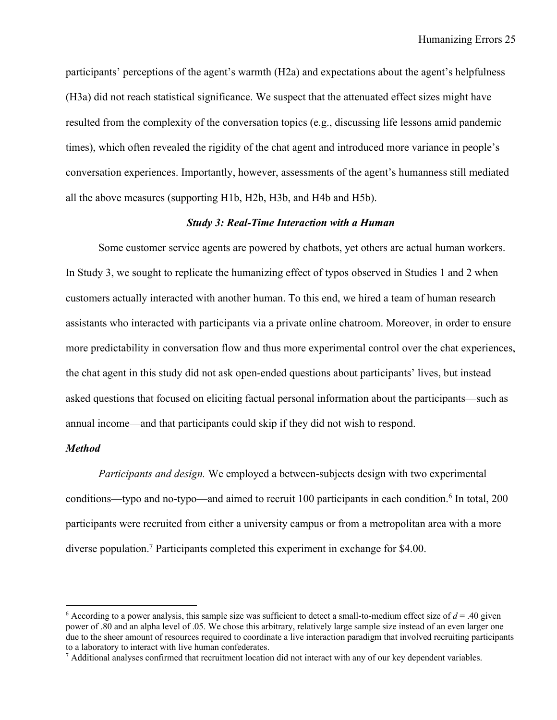participants' perceptions of the agent's warmth (H2a) and expectations about the agent's helpfulness (H3a) did not reach statistical significance. We suspect that the attenuated effect sizes might have resulted from the complexity of the conversation topics (e.g., discussing life lessons amid pandemic times), which often revealed the rigidity of the chat agent and introduced more variance in people's conversation experiences. Importantly, however, assessments of the agent's humanness still mediated all the above measures (supporting H1b, H2b, H3b, and H4b and H5b).

# *Study 3: Real-Time Interaction with a Human*

Some customer service agents are powered by chatbots, yet others are actual human workers. In Study 3, we sought to replicate the humanizing effect of typos observed in Studies 1 and 2 when customers actually interacted with another human. To this end, we hired a team of human research assistants who interacted with participants via a private online chatroom. Moreover, in order to ensure more predictability in conversation flow and thus more experimental control over the chat experiences, the chat agent in this study did not ask open-ended questions about participants' lives, but instead asked questions that focused on eliciting factual personal information about the participants—such as annual income—and that participants could skip if they did not wish to respond.

# *Method*

*Participants and design.* We employed a between-subjects design with two experimental conditions—typo and no-typo—and aimed to recruit 100 participants in each condition.<sup>6</sup> In total, 200 participants were recruited from either a university campus or from a metropolitan area with a more diverse population. <sup>7</sup> Participants completed this experiment in exchange for \$4.00.

<sup>&</sup>lt;sup>6</sup> According to a power analysis, this sample size was sufficient to detect a small-to-medium effect size of  $d = .40$  given power of .80 and an alpha level of .05. We chose this arbitrary, relatively large sample size instead of an even larger one due to the sheer amount of resources required to coordinate a live interaction paradigm that involved recruiting participants to a laboratory to interact with live human confederates.

 $7$  Additional analyses confirmed that recruitment location did not interact with any of our key dependent variables.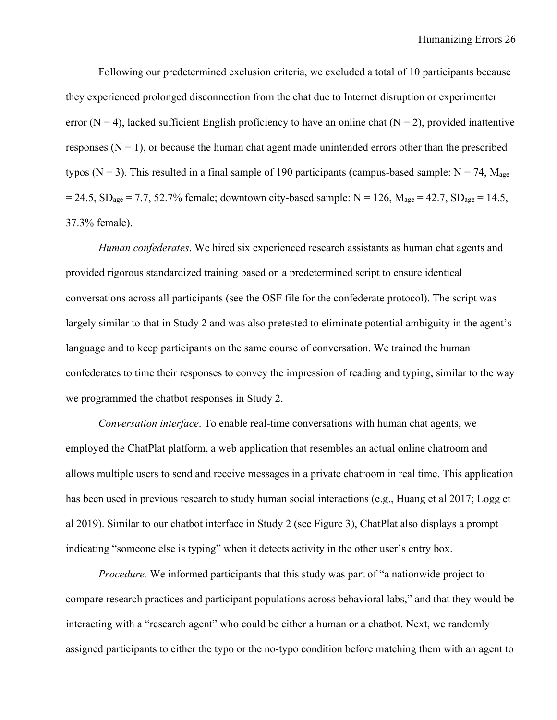Following our predetermined exclusion criteria, we excluded a total of 10 participants because they experienced prolonged disconnection from the chat due to Internet disruption or experimenter error (N = 4), lacked sufficient English proficiency to have an online chat (N = 2), provided inattentive responses  $(N = 1)$ , or because the human chat agent made unintended errors other than the prescribed typos (N = 3). This resulted in a final sample of 190 participants (campus-based sample:  $N = 74$ ,  $M_{\text{age}}$ )  $= 24.5$ ,  $SD_{age} = 7.7$ , 52.7% female; downtown city-based sample: N = 126, M<sub>age</sub> = 42.7, SD<sub>age</sub> = 14.5, 37.3% female).

*Human confederates*. We hired six experienced research assistants as human chat agents and provided rigorous standardized training based on a predetermined script to ensure identical conversations across all participants (see the OSF file for the confederate protocol). The script was largely similar to that in Study 2 and was also pretested to eliminate potential ambiguity in the agent's language and to keep participants on the same course of conversation. We trained the human confederates to time their responses to convey the impression of reading and typing, similar to the way we programmed the chatbot responses in Study 2.

*Conversation interface*. To enable real-time conversations with human chat agents, we employed the ChatPlat platform, a web application that resembles an actual online chatroom and allows multiple users to send and receive messages in a private chatroom in real time. This application has been used in previous research to study human social interactions (e.g., Huang et al 2017; Logg et al 2019). Similar to our chatbot interface in Study 2 (see Figure 3), ChatPlat also displays a prompt indicating "someone else is typing" when it detects activity in the other user's entry box.

*Procedure.* We informed participants that this study was part of "a nationwide project to compare research practices and participant populations across behavioral labs," and that they would be interacting with a "research agent" who could be either a human or a chatbot. Next, we randomly assigned participants to either the typo or the no-typo condition before matching them with an agent to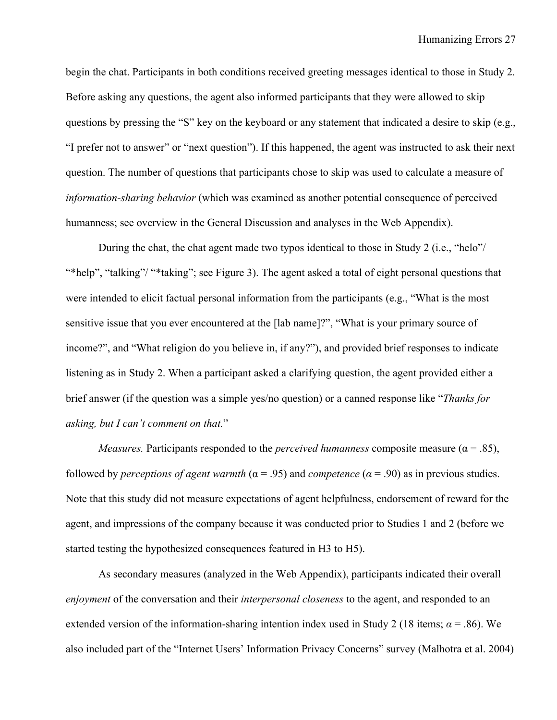begin the chat. Participants in both conditions received greeting messages identical to those in Study 2. Before asking any questions, the agent also informed participants that they were allowed to skip questions by pressing the "S" key on the keyboard or any statement that indicated a desire to skip (e.g., "I prefer not to answer" or "next question"). If this happened, the agent was instructed to ask their next question. The number of questions that participants chose to skip was used to calculate a measure of *information-sharing behavior* (which was examined as another potential consequence of perceived humanness; see overview in the General Discussion and analyses in the Web Appendix).

During the chat, the chat agent made two typos identical to those in Study 2 (i.e., "helo"/ "\*help", "talking"/ "\*taking"; see Figure 3). The agent asked a total of eight personal questions that were intended to elicit factual personal information from the participants (e.g., "What is the most sensitive issue that you ever encountered at the [lab name]?", "What is your primary source of income?", and "What religion do you believe in, if any?"), and provided brief responses to indicate listening as in Study 2. When a participant asked a clarifying question, the agent provided either a brief answer (if the question was a simple yes/no question) or a canned response like "*Thanks for asking, but I can't comment on that.*"

*Measures.* Participants responded to the *perceived humanness* composite measure ( $\alpha = .85$ ), followed by *perceptions of agent warmth* ( $\alpha$  = .95) and *competence* ( $\alpha$  = .90) as in previous studies. Note that this study did not measure expectations of agent helpfulness, endorsement of reward for the agent, and impressions of the company because it was conducted prior to Studies 1 and 2 (before we started testing the hypothesized consequences featured in H3 to H5).

As secondary measures (analyzed in the Web Appendix), participants indicated their overall *enjoyment* of the conversation and their *interpersonal closeness* to the agent, and responded to an extended version of the information-sharing intention index used in Study 2 (18 items;  $\alpha$  = .86). We also included part of the "Internet Users' Information Privacy Concerns" survey (Malhotra et al. 2004)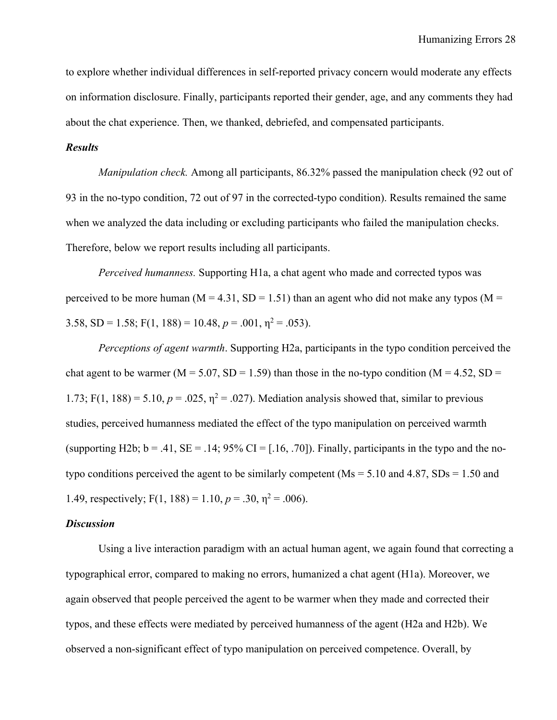to explore whether individual differences in self-reported privacy concern would moderate any effects on information disclosure. Finally, participants reported their gender, age, and any comments they had about the chat experience. Then, we thanked, debriefed, and compensated participants.

# *Results*

*Manipulation check.* Among all participants, 86.32% passed the manipulation check (92 out of 93 in the no-typo condition, 72 out of 97 in the corrected-typo condition). Results remained the same when we analyzed the data including or excluding participants who failed the manipulation checks. Therefore, below we report results including all participants.

*Perceived humanness.* Supporting H1a, a chat agent who made and corrected typos was perceived to be more human ( $M = 4.31$ ,  $SD = 1.51$ ) than an agent who did not make any typos ( $M =$ 3.58, SD = 1.58; F(1, 188) = 10.48,  $p = .001$ ,  $\eta^2 = .053$ ).

*Perceptions of agent warmth*. Supporting H2a, participants in the typo condition perceived the chat agent to be warmer ( $M = 5.07$ ,  $SD = 1.59$ ) than those in the no-typo condition ( $M = 4.52$ ,  $SD =$ 1.73; F(1, 188) = 5.10,  $p = .025$ ,  $\eta^2 = .027$ ). Mediation analysis showed that, similar to previous studies, perceived humanness mediated the effect of the typo manipulation on perceived warmth (supporting H2b;  $b = .41$ ,  $SE = .14$ ;  $95\%$  CI = [.16, .70]). Finally, participants in the typo and the notypo conditions perceived the agent to be similarly competent ( $Ms = 5.10$  and  $4.87$ ,  $SDs = 1.50$  and 1.49, respectively;  $F(1, 188) = 1.10$ ,  $p = .30$ ,  $\eta^2 = .006$ ).

#### *Discussion*

Using a live interaction paradigm with an actual human agent, we again found that correcting a typographical error, compared to making no errors, humanized a chat agent (H1a). Moreover, we again observed that people perceived the agent to be warmer when they made and corrected their typos, and these effects were mediated by perceived humanness of the agent (H2a and H2b). We observed a non-significant effect of typo manipulation on perceived competence. Overall, by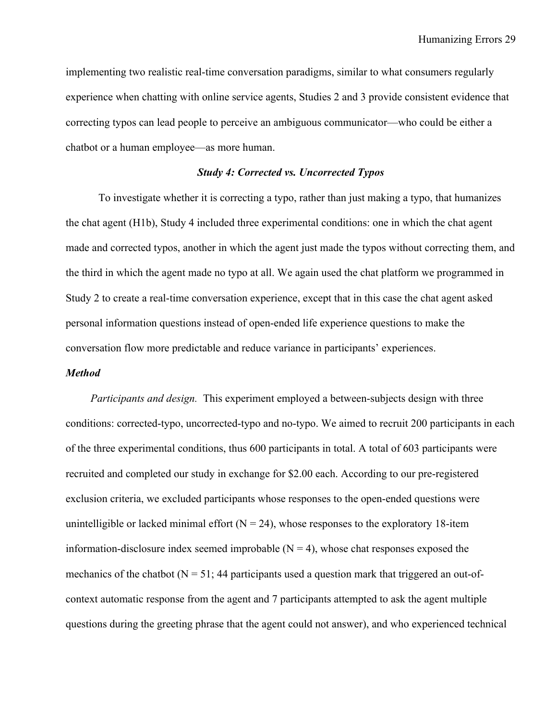implementing two realistic real-time conversation paradigms, similar to what consumers regularly experience when chatting with online service agents, Studies 2 and 3 provide consistent evidence that correcting typos can lead people to perceive an ambiguous communicator—who could be either a chatbot or a human employee—as more human.

# *Study 4: Corrected vs. Uncorrected Typos*

To investigate whether it is correcting a typo, rather than just making a typo, that humanizes the chat agent (H1b), Study 4 included three experimental conditions: one in which the chat agent made and corrected typos, another in which the agent just made the typos without correcting them, and the third in which the agent made no typo at all. We again used the chat platform we programmed in Study 2 to create a real-time conversation experience, except that in this case the chat agent asked personal information questions instead of open-ended life experience questions to make the conversation flow more predictable and reduce variance in participants' experiences.

### *Method*

*Participants and design.* This experiment employed a between-subjects design with three conditions: corrected-typo, uncorrected-typo and no-typo. We aimed to recruit 200 participants in each of the three experimental conditions, thus 600 participants in total. A total of 603 participants were recruited and completed our study in exchange for \$2.00 each. According to our pre-registered exclusion criteria, we excluded participants whose responses to the open-ended questions were unintelligible or lacked minimal effort  $(N = 24)$ , whose responses to the exploratory 18-item information-disclosure index seemed improbable  $(N = 4)$ , whose chat responses exposed the mechanics of the chatbot ( $N = 51$ ; 44 participants used a question mark that triggered an out-ofcontext automatic response from the agent and 7 participants attempted to ask the agent multiple questions during the greeting phrase that the agent could not answer), and who experienced technical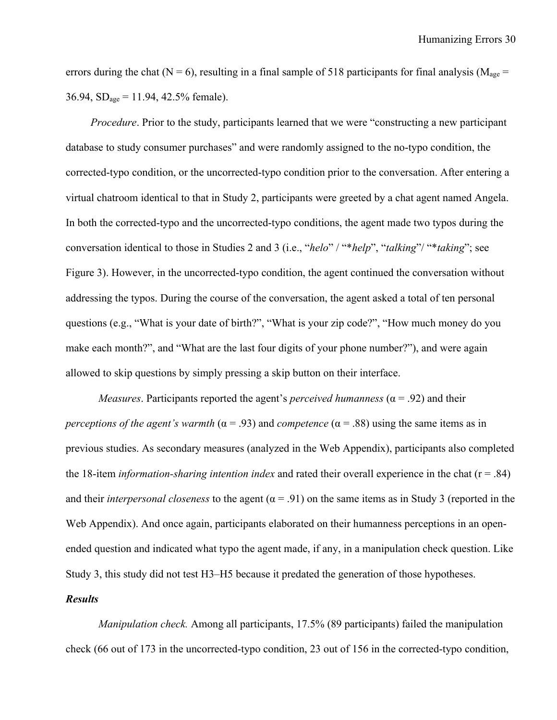errors during the chat (N = 6), resulting in a final sample of 518 participants for final analysis ( $M_{\text{age}}$  =  $36.94$ ,  $SD<sub>age</sub> = 11.94$ ,  $42.5%$  female).

*Procedure*. Prior to the study, participants learned that we were "constructing a new participant database to study consumer purchases" and were randomly assigned to the no-typo condition, the corrected-typo condition, or the uncorrected-typo condition prior to the conversation. After entering a virtual chatroom identical to that in Study 2, participants were greeted by a chat agent named Angela. In both the corrected-typo and the uncorrected-typo conditions, the agent made two typos during the conversation identical to those in Studies 2 and 3 (i.e., "*helo*" / "\**help*", "*talking*"/ "\**taking*"; see Figure 3). However, in the uncorrected-typo condition, the agent continued the conversation without addressing the typos. During the course of the conversation, the agent asked a total of ten personal questions (e.g., "What is your date of birth?", "What is your zip code?", "How much money do you make each month?", and "What are the last four digits of your phone number?"), and were again allowed to skip questions by simply pressing a skip button on their interface.

*Measures*. Participants reported the agent's *perceived humanness* ( $\alpha$  = .92) and their *perceptions of the agent's warmth* ( $\alpha$  = .93) and *competence* ( $\alpha$  = .88) using the same items as in previous studies. As secondary measures (analyzed in the Web Appendix), participants also completed the 18-item *information-sharing intention index* and rated their overall experience in the chat (r = .84) and their *interpersonal closeness* to the agent ( $\alpha$  = .91) on the same items as in Study 3 (reported in the Web Appendix). And once again, participants elaborated on their humanness perceptions in an openended question and indicated what typo the agent made, if any, in a manipulation check question. Like Study 3, this study did not test H3–H5 because it predated the generation of those hypotheses.

# *Results*

*Manipulation check.* Among all participants, 17.5% (89 participants) failed the manipulation check (66 out of 173 in the uncorrected-typo condition, 23 out of 156 in the corrected-typo condition,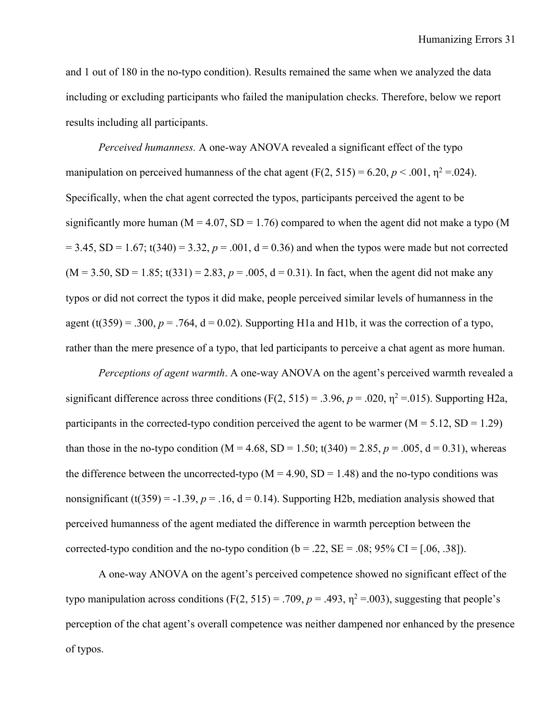and 1 out of 180 in the no-typo condition). Results remained the same when we analyzed the data including or excluding participants who failed the manipulation checks. Therefore, below we report results including all participants.

*Perceived humanness.* A one-way ANOVA revealed a significant effect of the typo manipulation on perceived humanness of the chat agent  $(F(2, 515) = 6.20, p < .001, \eta^2 = .024)$ . Specifically, when the chat agent corrected the typos, participants perceived the agent to be significantly more human ( $M = 4.07$ ,  $SD = 1.76$ ) compared to when the agent did not make a typo (M  $= 3.45$ , SD = 1.67; t(340) = 3.32,  $p = .001$ ,  $d = 0.36$ ) and when the typos were made but not corrected  $(M = 3.50, SD = 1.85; t(331) = 2.83, p = .005, d = 0.31)$ . In fact, when the agent did not make any typos or did not correct the typos it did make, people perceived similar levels of humanness in the agent (t(359) = .300,  $p = .764$ ,  $d = 0.02$ ). Supporting H1a and H1b, it was the correction of a typo, rather than the mere presence of a typo, that led participants to perceive a chat agent as more human.

*Perceptions of agent warmth*. A one-way ANOVA on the agent's perceived warmth revealed a significant difference across three conditions  $(F(2, 515) = .3.96, p = .020, \eta^2 = .015)$ . Supporting H2a, participants in the corrected-typo condition perceived the agent to be warmer  $(M = 5.12, SD = 1.29)$ than those in the no-typo condition (M = 4.68, SD = 1.50; t(340) = 2.85,  $p = .005$ , d = 0.31), whereas the difference between the uncorrected-typo  $(M = 4.90, SD = 1.48)$  and the no-typo conditions was nonsignificant (t(359) = -1.39,  $p = 0.16$ , d = 0.14). Supporting H2b, mediation analysis showed that perceived humanness of the agent mediated the difference in warmth perception between the corrected-typo condition and the no-typo condition ( $b = .22$ ,  $SE = .08$ ;  $95\%$  CI = [.06, .38]).

A one-way ANOVA on the agent's perceived competence showed no significant effect of the typo manipulation across conditions (F(2, 515) = .709,  $p = .493$ ,  $\eta^2 = .003$ ), suggesting that people's perception of the chat agent's overall competence was neither dampened nor enhanced by the presence of typos.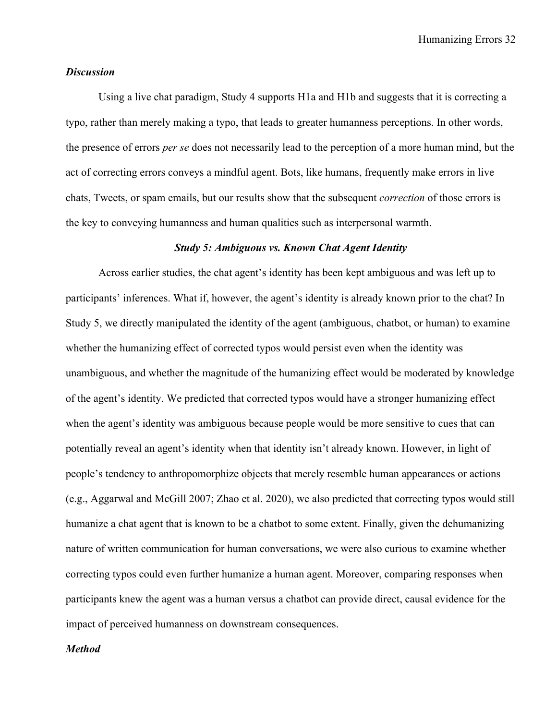Humanizing Errors 32

# *Discussion*

Using a live chat paradigm, Study 4 supports H1a and H1b and suggests that it is correcting a typo, rather than merely making a typo, that leads to greater humanness perceptions. In other words, the presence of errors *per se* does not necessarily lead to the perception of a more human mind, but the act of correcting errors conveys a mindful agent. Bots, like humans, frequently make errors in live chats, Tweets, or spam emails, but our results show that the subsequent *correction* of those errors is the key to conveying humanness and human qualities such as interpersonal warmth.

#### *Study 5: Ambiguous vs. Known Chat Agent Identity*

Across earlier studies, the chat agent's identity has been kept ambiguous and was left up to participants' inferences. What if, however, the agent's identity is already known prior to the chat? In Study 5, we directly manipulated the identity of the agent (ambiguous, chatbot, or human) to examine whether the humanizing effect of corrected typos would persist even when the identity was unambiguous, and whether the magnitude of the humanizing effect would be moderated by knowledge of the agent's identity. We predicted that corrected typos would have a stronger humanizing effect when the agent's identity was ambiguous because people would be more sensitive to cues that can potentially reveal an agent's identity when that identity isn't already known. However, in light of people's tendency to anthropomorphize objects that merely resemble human appearances or actions (e.g., Aggarwal and McGill 2007; Zhao et al. 2020), we also predicted that correcting typos would still humanize a chat agent that is known to be a chatbot to some extent. Finally, given the dehumanizing nature of written communication for human conversations, we were also curious to examine whether correcting typos could even further humanize a human agent. Moreover, comparing responses when participants knew the agent was a human versus a chatbot can provide direct, causal evidence for the impact of perceived humanness on downstream consequences.

## *Method*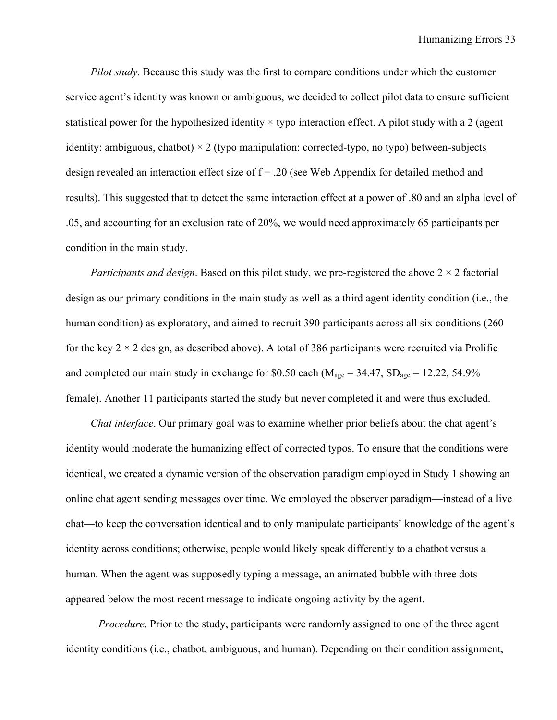*Pilot study.* Because this study was the first to compare conditions under which the customer service agent's identity was known or ambiguous, we decided to collect pilot data to ensure sufficient statistical power for the hypothesized identity  $\times$  typo interaction effect. A pilot study with a 2 (agent identity: ambiguous, chatbot)  $\times$  2 (typo manipulation: corrected-typo, no typo) between-subjects design revealed an interaction effect size of  $f = .20$  (see Web Appendix for detailed method and results). This suggested that to detect the same interaction effect at a power of .80 and an alpha level of .05, and accounting for an exclusion rate of 20%, we would need approximately 65 participants per condition in the main study.

*Participants and design*. Based on this pilot study, we pre-registered the above 2 × 2 factorial design as our primary conditions in the main study as well as a third agent identity condition (i.e., the human condition) as exploratory, and aimed to recruit 390 participants across all six conditions (260 for the key  $2 \times 2$  design, as described above). A total of 386 participants were recruited via Prolific and completed our main study in exchange for \$0.50 each ( $M_{\text{age}} = 34.47$ ,  $SD_{\text{age}} = 12.22$ , 54.9% female). Another 11 participants started the study but never completed it and were thus excluded.

*Chat interface*. Our primary goal was to examine whether prior beliefs about the chat agent's identity would moderate the humanizing effect of corrected typos. To ensure that the conditions were identical, we created a dynamic version of the observation paradigm employed in Study 1 showing an online chat agent sending messages over time. We employed the observer paradigm—instead of a live chat—to keep the conversation identical and to only manipulate participants' knowledge of the agent's identity across conditions; otherwise, people would likely speak differently to a chatbot versus a human. When the agent was supposedly typing a message, an animated bubble with three dots appeared below the most recent message to indicate ongoing activity by the agent.

*Procedure*. Prior to the study, participants were randomly assigned to one of the three agent identity conditions (i.e., chatbot, ambiguous, and human). Depending on their condition assignment,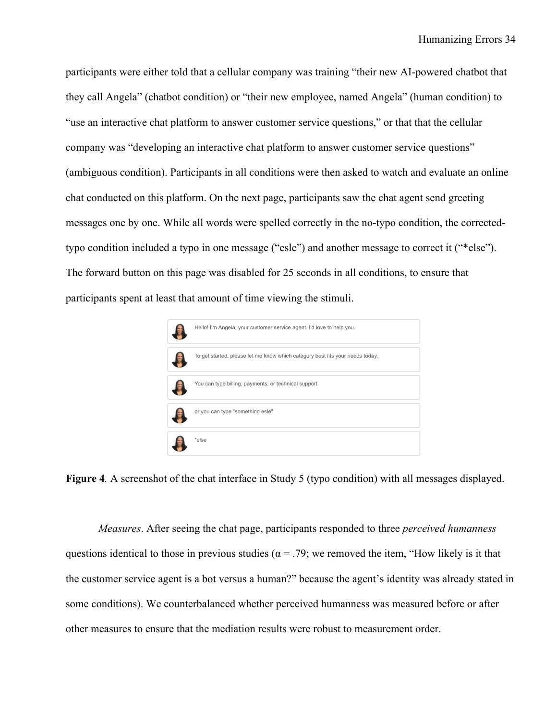participants were either told that a cellular company was training "their new AI-powered chatbot that they call Angela" (chatbot condition) or "their new employee, named Angela" (human condition) to "use an interactive chat platform to answer customer service questions," or that that the cellular company was "developing an interactive chat platform to answer customer service questions" (ambiguous condition). Participants in all conditions were then asked to watch and evaluate an online chat conducted on this platform. On the next page, participants saw the chat agent send greeting messages one by one. While all words were spelled correctly in the no-typo condition, the correctedtypo condition included a typo in one message ("esle") and another message to correct it ("\*else"). The forward button on this page was disabled for 25 seconds in all conditions, to ensure that participants spent at least that amount of time viewing the stimuli.



**Figure 4***.* A screenshot of the chat interface in Study 5 (typo condition) with all messages displayed.

*Measures*. After seeing the chat page, participants responded to three *perceived humanness*  questions identical to those in previous studies ( $\alpha = .79$ ; we removed the item, "How likely is it that the customer service agent is a bot versus a human?" because the agent's identity was already stated in some conditions). We counterbalanced whether perceived humanness was measured before or after other measures to ensure that the mediation results were robust to measurement order.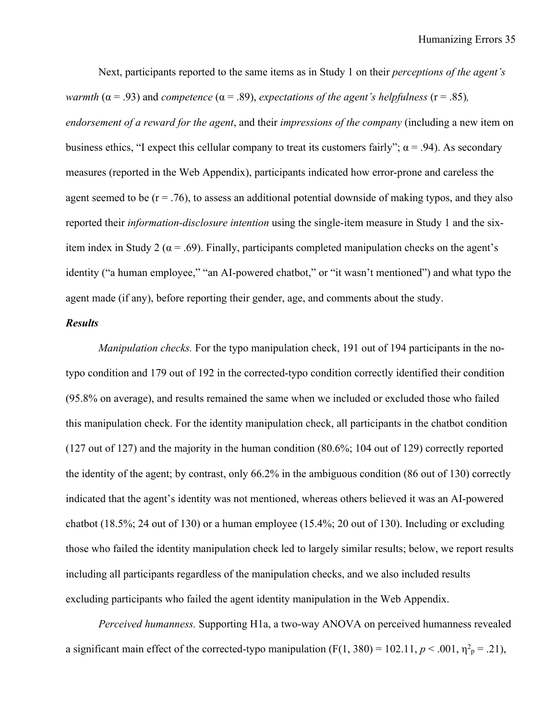Next, participants reported to the same items as in Study 1 on their *perceptions of the agent's warmth* ( $\alpha$  = .93) and *competence* ( $\alpha$  = .89), *expectations of the agent's helpfulness* ( $r$  = .85)*, endorsement of a reward for the agent*, and their *impressions of the company* (including a new item on business ethics, "I expect this cellular company to treat its customers fairly";  $\alpha$  = .94). As secondary measures (reported in the Web Appendix), participants indicated how error-prone and careless the agent seemed to be  $(r = .76)$ , to assess an additional potential downside of making typos, and they also reported their *information-disclosure intention* using the single-item measure in Study 1 and the sixitem index in Study 2 ( $\alpha$  = .69). Finally, participants completed manipulation checks on the agent's identity ("a human employee," "an AI-powered chatbot," or "it wasn't mentioned") and what typo the agent made (if any), before reporting their gender, age, and comments about the study.

# *Results*

*Manipulation checks.* For the typo manipulation check, 191 out of 194 participants in the notypo condition and 179 out of 192 in the corrected-typo condition correctly identified their condition (95.8% on average), and results remained the same when we included or excluded those who failed this manipulation check. For the identity manipulation check, all participants in the chatbot condition (127 out of 127) and the majority in the human condition (80.6%; 104 out of 129) correctly reported the identity of the agent; by contrast, only 66.2% in the ambiguous condition (86 out of 130) correctly indicated that the agent's identity was not mentioned, whereas others believed it was an AI-powered chatbot (18.5%; 24 out of 130) or a human employee (15.4%; 20 out of 130). Including or excluding those who failed the identity manipulation check led to largely similar results; below, we report results including all participants regardless of the manipulation checks, and we also included results excluding participants who failed the agent identity manipulation in the Web Appendix.

*Perceived humanness.* Supporting H1a, a two-way ANOVA on perceived humanness revealed a significant main effect of the corrected-typo manipulation  $(F(1, 380) = 102.11, p < .001, \eta^2 = .21)$ ,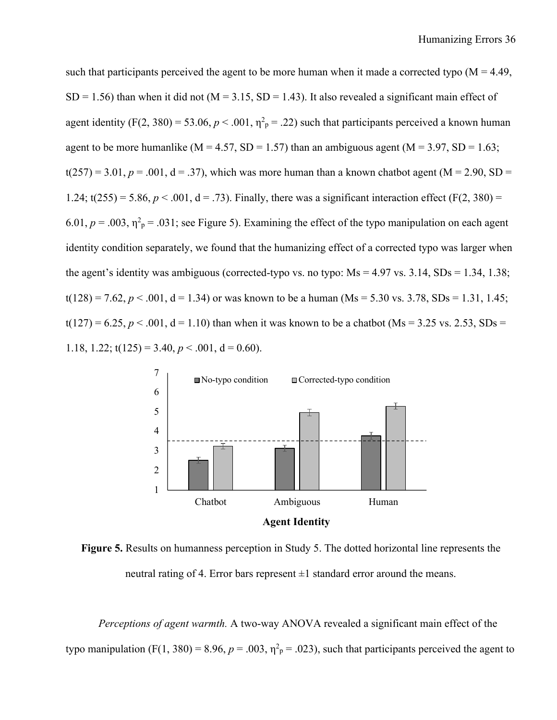such that participants perceived the agent to be more human when it made a corrected typo  $(M = 4.49)$ ,  $SD = 1.56$ ) than when it did not (M = 3.15, SD = 1.43). It also revealed a significant main effect of agent identity (F(2, 380) = 53.06,  $p < .001$ ,  $\eta^2$ <sub>p</sub> = .22) such that participants perceived a known human agent to be more humanlike ( $M = 4.57$ ,  $SD = 1.57$ ) than an ambiguous agent ( $M = 3.97$ ,  $SD = 1.63$ ;  $t(257) = 3.01, p = .001, d = .37$ , which was more human than a known chatbot agent (M = 2.90, SD = 1.24;  $t(255) = 5.86, p < .001, d = .73$ ). Finally, there was a significant interaction effect (F(2, 380) =  $6.01, p = .003, \eta^2$ <sub>p</sub> = .031; see Figure 5). Examining the effect of the typo manipulation on each agent identity condition separately, we found that the humanizing effect of a corrected typo was larger when the agent's identity was ambiguous (corrected-typo vs. no typo:  $Ms = 4.97$  vs. 3.14,  $SDs = 1.34$ , 1.38;  $t(128) = 7.62, p < .001, d = 1.34$  or was known to be a human (Ms = 5.30 vs. 3.78, SDs = 1.31, 1.45;  $t(127) = 6.25, p < .001, d = 1.10$ ) than when it was known to be a chatbot (Ms = 3.25 vs. 2.53, SDs = 1.18, 1.22;  $t(125) = 3.40, p < .001, d = 0.60$ .



**Figure 5.** Results on humanness perception in Study 5. The dotted horizontal line represents the neutral rating of 4. Error bars represent  $\pm 1$  standard error around the means.

*Perceptions of agent warmth.* A two-way ANOVA revealed a significant main effect of the typo manipulation (F(1, 380) = 8.96,  $p = .003$ ,  $\eta^2$ <sub>p</sub> = .023), such that participants perceived the agent to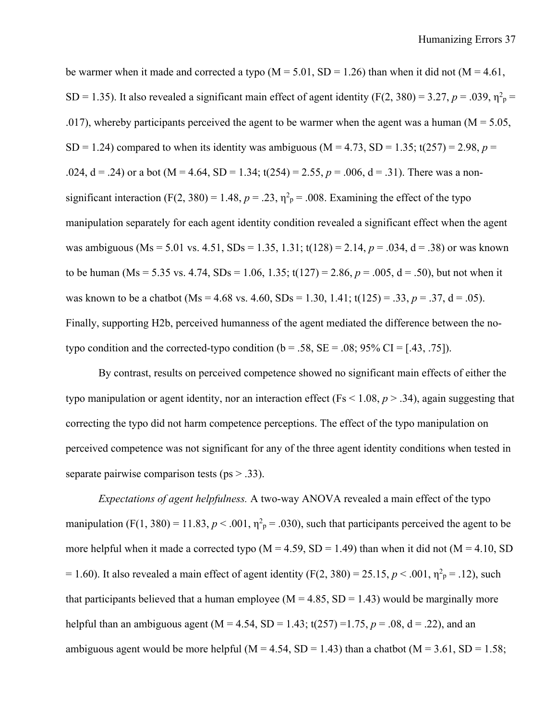be warmer when it made and corrected a typo  $(M = 5.01, SD = 1.26)$  than when it did not  $(M = 4.61,$ SD = 1.35). It also revealed a significant main effect of agent identity (F(2, 380) = 3.27,  $p = .039$ ,  $\eta^2$ <sub>p</sub> = .017), whereby participants perceived the agent to be warmer when the agent was a human ( $M = 5.05$ , SD = 1.24) compared to when its identity was ambiguous ( $M = 4.73$ , SD = 1.35; t(257) = 2.98, *p* = .024,  $d = .24$ ) or a bot (M = 4.64, SD = 1.34; t(254) = 2.55,  $p = .006$ ,  $d = .31$ ). There was a nonsignificant interaction (F(2, 380) = 1.48,  $p = .23$ ,  $\eta^2$ <sub>p</sub> = .008. Examining the effect of the typo manipulation separately for each agent identity condition revealed a significant effect when the agent was ambiguous (Ms = 5.01 vs. 4.51, SDs = 1.35, 1.31;  $t(128) = 2.14$ ,  $p = .034$ ,  $d = .38$ ) or was known to be human (Ms = 5.35 vs. 4.74, SDs = 1.06, 1.35;  $t(127) = 2.86$ ,  $p = .005$ ,  $d = .50$ ), but not when it was known to be a chatbot (Ms = 4.68 vs. 4.60, SDs = 1.30, 1.41;  $t(125) = .33, p = .37, d = .05$ ). Finally, supporting H2b, perceived humanness of the agent mediated the difference between the notypo condition and the corrected-typo condition ( $b = .58$ ,  $SE = .08$ ;  $95\%$  CI = [.43, .75]).

By contrast, results on perceived competence showed no significant main effects of either the typo manipulation or agent identity, nor an interaction effect (Fs < 1.08, *p* > .34), again suggesting that correcting the typo did not harm competence perceptions. The effect of the typo manipulation on perceived competence was not significant for any of the three agent identity conditions when tested in separate pairwise comparison tests ( $ps > .33$ ).

*Expectations of agent helpfulness.* A two-way ANOVA revealed a main effect of the typo manipulation (F(1, 380) = 11.83,  $p < .001$ ,  $\eta^2$ <sub>p</sub> = .030), such that participants perceived the agent to be more helpful when it made a corrected typo ( $M = 4.59$ ,  $SD = 1.49$ ) than when it did not ( $M = 4.10$ , SD = 1.60). It also revealed a main effect of agent identity (F(2, 380) = 25.15,  $p < .001$ ,  $\eta_{p}^{2} = .12$ ), such that participants believed that a human employee ( $M = 4.85$ ,  $SD = 1.43$ ) would be marginally more helpful than an ambiguous agent (M = 4.54, SD = 1.43; t(257) = 1.75,  $p = .08$ , d = .22), and an ambiguous agent would be more helpful ( $M = 4.54$ , SD = 1.43) than a chatbot ( $M = 3.61$ , SD = 1.58;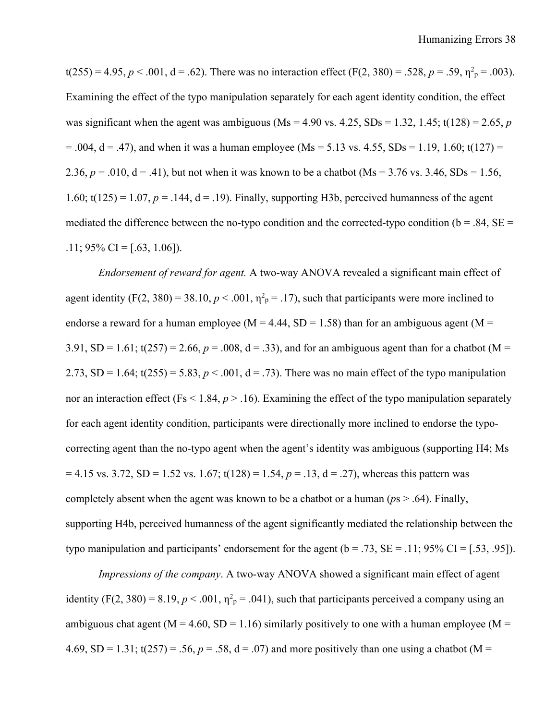$t(255) = 4.95, p < .001, d = .62$ . There was no interaction effect (F(2, 380) = .528,  $p = .59, \eta^2 = .003$ ). Examining the effect of the typo manipulation separately for each agent identity condition, the effect was significant when the agent was ambiguous (Ms =  $4.90$  vs.  $4.25$ , SDs =  $1.32$ ,  $1.45$ ;  $t(128) = 2.65$ , *p*  $= .004$ ,  $d = .47$ ), and when it was a human employee (Ms = 5.13 vs. 4.55, SDs = 1.19, 1.60; t(127) = 2.36,  $p = .010$ ,  $d = .41$ ), but not when it was known to be a chatbot (Ms = 3.76 vs. 3.46, SDs = 1.56, 1.60;  $t(125) = 1.07$ ,  $p = .144$ ,  $d = .19$ ). Finally, supporting H3b, perceived humanness of the agent mediated the difference between the no-typo condition and the corrected-typo condition ( $b = .84$ ,  $SE =$ .11;  $95\%$  CI = [.63, 1.06]).

*Endorsement of reward for agent.* A two-way ANOVA revealed a significant main effect of agent identity (F(2, 380) = 38.10,  $p < .001$ ,  $\eta^2$ <sub>p</sub> = .17), such that participants were more inclined to endorse a reward for a human employee ( $M = 4.44$ , SD = 1.58) than for an ambiguous agent ( $M =$ 3.91, SD = 1.61;  $t(257) = 2.66$ ,  $p = .008$ ,  $d = .33$ ), and for an ambiguous agent than for a chatbot (M = 2.73, SD = 1.64;  $t(255) = 5.83$ ,  $p < .001$ ,  $d = .73$ ). There was no main effect of the typo manipulation nor an interaction effect (Fs  $\leq$  1.84,  $p > 0.16$ ). Examining the effect of the typo manipulation separately for each agent identity condition, participants were directionally more inclined to endorse the typocorrecting agent than the no-typo agent when the agent's identity was ambiguous (supporting H4; Ms  $= 4.15$  vs. 3.72, SD = 1.52 vs. 1.67; t(128) = 1.54,  $p = .13$ ,  $d = .27$ ), whereas this pattern was completely absent when the agent was known to be a chatbot or a human (*p*s > .64). Finally, supporting H4b, perceived humanness of the agent significantly mediated the relationship between the typo manipulation and participants' endorsement for the agent  $(b = .73, SE = .11; 95\% \text{ CI} = [.53, .95]).$ 

*Impressions of the company*. A two-way ANOVA showed a significant main effect of agent identity  $(F(2, 380) = 8.19, p < .001, \eta^2 = .041)$ , such that participants perceived a company using an ambiguous chat agent ( $M = 4.60$ , SD = 1.16) similarly positively to one with a human employee ( $M =$ 4.69, SD = 1.31;  $t(257) = .56$ ,  $p = .58$ ,  $d = .07$ ) and more positively than one using a chatbot (M =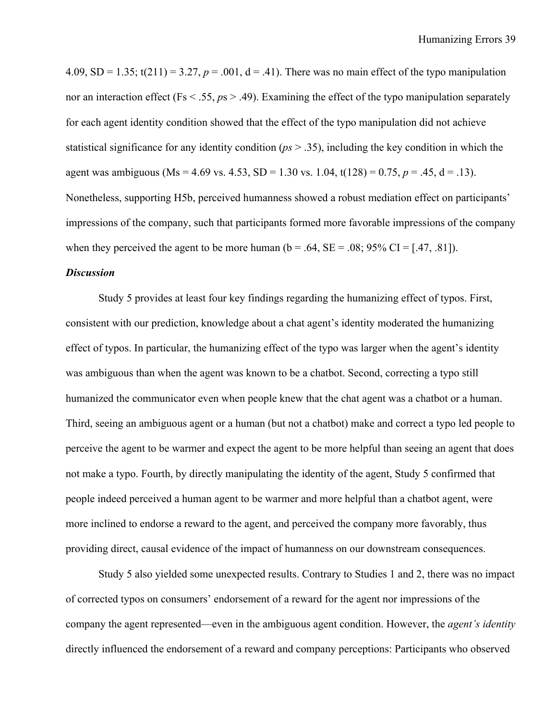4.09, SD = 1.35;  $t(211) = 3.27$ ,  $p = .001$ ,  $d = .41$ ). There was no main effect of the typo manipulation nor an interaction effect (Fs < .55,  $p_s$  > .49). Examining the effect of the typo manipulation separately for each agent identity condition showed that the effect of the typo manipulation did not achieve statistical significance for any identity condition (*ps* > .35), including the key condition in which the agent was ambiguous (Ms = 4.69 vs. 4.53, SD = 1.30 vs. 1.04,  $t(128) = 0.75$ ,  $p = .45$ ,  $d = .13$ ). Nonetheless, supporting H5b, perceived humanness showed a robust mediation effect on participants' impressions of the company, such that participants formed more favorable impressions of the company when they perceived the agent to be more human ( $b = .64$ ,  $SE = .08$ ;  $95\%$  CI = [.47, .81]).

# *Discussion*

Study 5 provides at least four key findings regarding the humanizing effect of typos. First, consistent with our prediction, knowledge about a chat agent's identity moderated the humanizing effect of typos. In particular, the humanizing effect of the typo was larger when the agent's identity was ambiguous than when the agent was known to be a chatbot. Second, correcting a typo still humanized the communicator even when people knew that the chat agent was a chatbot or a human. Third, seeing an ambiguous agent or a human (but not a chatbot) make and correct a typo led people to perceive the agent to be warmer and expect the agent to be more helpful than seeing an agent that does not make a typo. Fourth, by directly manipulating the identity of the agent, Study 5 confirmed that people indeed perceived a human agent to be warmer and more helpful than a chatbot agent, were more inclined to endorse a reward to the agent, and perceived the company more favorably, thus providing direct, causal evidence of the impact of humanness on our downstream consequences.

Study 5 also yielded some unexpected results. Contrary to Studies 1 and 2, there was no impact of corrected typos on consumers' endorsement of a reward for the agent nor impressions of the company the agent represented—even in the ambiguous agent condition. However, the *agent's identity* directly influenced the endorsement of a reward and company perceptions: Participants who observed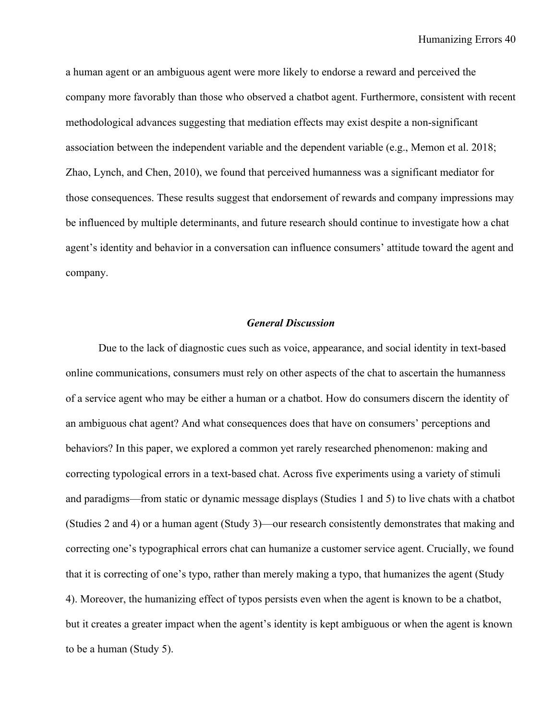a human agent or an ambiguous agent were more likely to endorse a reward and perceived the company more favorably than those who observed a chatbot agent. Furthermore, consistent with recent methodological advances suggesting that mediation effects may exist despite a non-significant association between the independent variable and the dependent variable (e.g., Memon et al. 2018; Zhao, Lynch, and Chen, 2010), we found that perceived humanness was a significant mediator for those consequences. These results suggest that endorsement of rewards and company impressions may be influenced by multiple determinants, and future research should continue to investigate how a chat agent's identity and behavior in a conversation can influence consumers' attitude toward the agent and company.

## *General Discussion*

Due to the lack of diagnostic cues such as voice, appearance, and social identity in text-based online communications, consumers must rely on other aspects of the chat to ascertain the humanness of a service agent who may be either a human or a chatbot. How do consumers discern the identity of an ambiguous chat agent? And what consequences does that have on consumers' perceptions and behaviors? In this paper, we explored a common yet rarely researched phenomenon: making and correcting typological errors in a text-based chat. Across five experiments using a variety of stimuli and paradigms—from static or dynamic message displays (Studies 1 and 5) to live chats with a chatbot (Studies 2 and 4) or a human agent (Study 3)—our research consistently demonstrates that making and correcting one's typographical errors chat can humanize a customer service agent. Crucially, we found that it is correcting of one's typo, rather than merely making a typo, that humanizes the agent (Study 4). Moreover, the humanizing effect of typos persists even when the agent is known to be a chatbot, but it creates a greater impact when the agent's identity is kept ambiguous or when the agent is known to be a human (Study 5).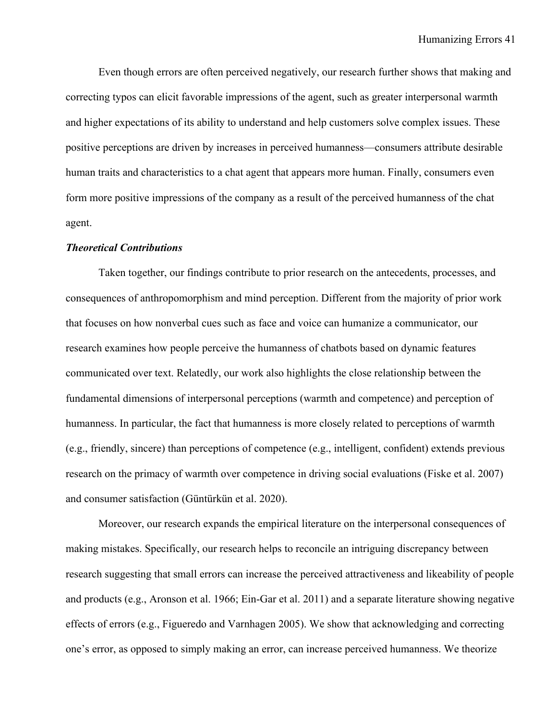Even though errors are often perceived negatively, our research further shows that making and correcting typos can elicit favorable impressions of the agent, such as greater interpersonal warmth and higher expectations of its ability to understand and help customers solve complex issues. These positive perceptions are driven by increases in perceived humanness—consumers attribute desirable human traits and characteristics to a chat agent that appears more human. Finally, consumers even form more positive impressions of the company as a result of the perceived humanness of the chat agent.

#### *Theoretical Contributions*

Taken together, our findings contribute to prior research on the antecedents, processes, and consequences of anthropomorphism and mind perception. Different from the majority of prior work that focuses on how nonverbal cues such as face and voice can humanize a communicator, our research examines how people perceive the humanness of chatbots based on dynamic features communicated over text. Relatedly, our work also highlights the close relationship between the fundamental dimensions of interpersonal perceptions (warmth and competence) and perception of humanness. In particular, the fact that humanness is more closely related to perceptions of warmth (e.g., friendly, sincere) than perceptions of competence (e.g., intelligent, confident) extends previous research on the primacy of warmth over competence in driving social evaluations (Fiske et al. 2007) and consumer satisfaction (Güntürkün et al. 2020).

Moreover, our research expands the empirical literature on the interpersonal consequences of making mistakes. Specifically, our research helps to reconcile an intriguing discrepancy between research suggesting that small errors can increase the perceived attractiveness and likeability of people and products (e.g., Aronson et al. 1966; Ein-Gar et al. 2011) and a separate literature showing negative effects of errors (e.g., Figueredo and Varnhagen 2005). We show that acknowledging and correcting one's error, as opposed to simply making an error, can increase perceived humanness. We theorize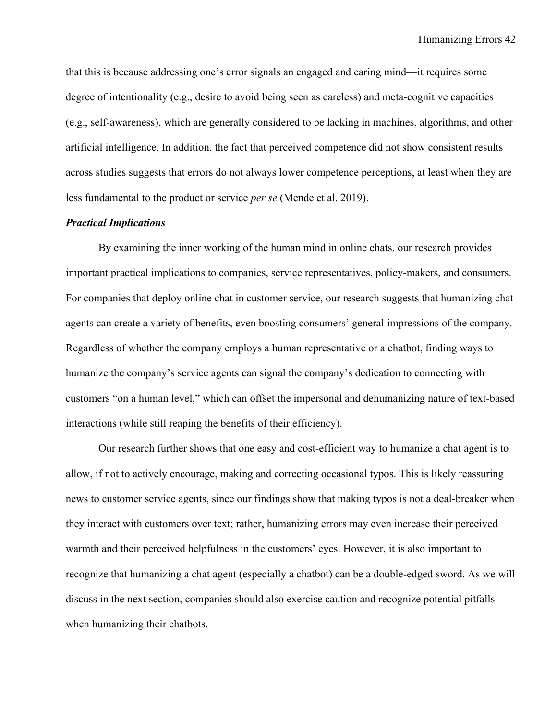that this is because addressing one's error signals an engaged and caring mind—it requires some degree of intentionality (e.g., desire to avoid being seen as careless) and meta-cognitive capacities (e.g., self-awareness), which are generally considered to be lacking in machines, algorithms, and other artificial intelligence. In addition, the fact that perceived competence did not show consistent results across studies suggests that errors do not always lower competence perceptions, at least when they are less fundamental to the product or service *per se* (Mende et al. 2019).

# *Practical Implications*

By examining the inner working of the human mind in online chats, our research provides important practical implications to companies, service representatives, policy-makers, and consumers. For companies that deploy online chat in customer service, our research suggests that humanizing chat agents can create a variety of benefits, even boosting consumers' general impressions of the company. Regardless of whether the company employs a human representative or a chatbot, finding ways to humanize the company's service agents can signal the company's dedication to connecting with customers "on a human level," which can offset the impersonal and dehumanizing nature of text-based interactions (while still reaping the benefits of their efficiency).

Our research further shows that one easy and cost-efficient way to humanize a chat agent is to allow, if not to actively encourage, making and correcting occasional typos. This is likely reassuring news to customer service agents, since our findings show that making typos is not a deal-breaker when they interact with customers over text; rather, humanizing errors may even increase their perceived warmth and their perceived helpfulness in the customers' eyes. However, it is also important to recognize that humanizing a chat agent (especially a chatbot) can be a double-edged sword. As we will discuss in the next section, companies should also exercise caution and recognize potential pitfalls when humanizing their chatbots.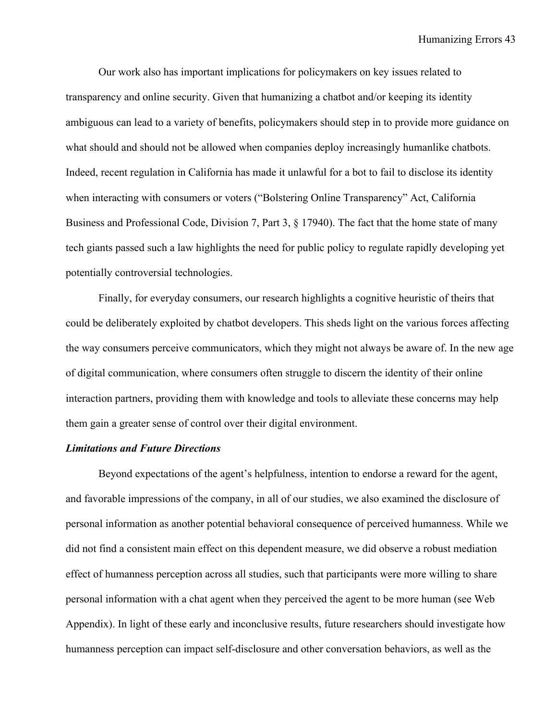Our work also has important implications for policymakers on key issues related to transparency and online security. Given that humanizing a chatbot and/or keeping its identity ambiguous can lead to a variety of benefits, policymakers should step in to provide more guidance on what should and should not be allowed when companies deploy increasingly humanlike chatbots. Indeed, recent regulation in California has made it unlawful for a bot to fail to disclose its identity when interacting with consumers or voters ("Bolstering Online Transparency" Act, California Business and Professional Code, Division 7, Part 3, § 17940). The fact that the home state of many tech giants passed such a law highlights the need for public policy to regulate rapidly developing yet potentially controversial technologies.

Finally, for everyday consumers, our research highlights a cognitive heuristic of theirs that could be deliberately exploited by chatbot developers. This sheds light on the various forces affecting the way consumers perceive communicators, which they might not always be aware of. In the new age of digital communication, where consumers often struggle to discern the identity of their online interaction partners, providing them with knowledge and tools to alleviate these concerns may help them gain a greater sense of control over their digital environment.

## *Limitations and Future Directions*

Beyond expectations of the agent's helpfulness, intention to endorse a reward for the agent, and favorable impressions of the company, in all of our studies, we also examined the disclosure of personal information as another potential behavioral consequence of perceived humanness. While we did not find a consistent main effect on this dependent measure, we did observe a robust mediation effect of humanness perception across all studies, such that participants were more willing to share personal information with a chat agent when they perceived the agent to be more human (see Web Appendix). In light of these early and inconclusive results, future researchers should investigate how humanness perception can impact self-disclosure and other conversation behaviors, as well as the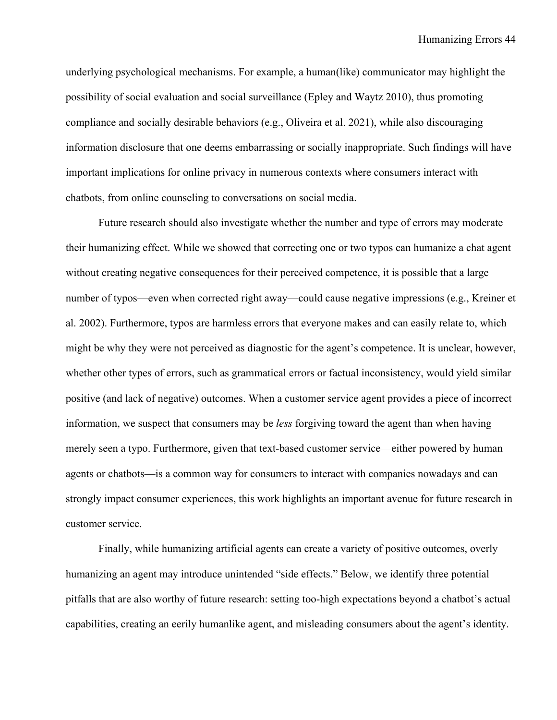underlying psychological mechanisms. For example, a human(like) communicator may highlight the possibility of social evaluation and social surveillance (Epley and Waytz 2010), thus promoting compliance and socially desirable behaviors (e.g., Oliveira et al. 2021), while also discouraging information disclosure that one deems embarrassing or socially inappropriate. Such findings will have important implications for online privacy in numerous contexts where consumers interact with chatbots, from online counseling to conversations on social media.

Future research should also investigate whether the number and type of errors may moderate their humanizing effect. While we showed that correcting one or two typos can humanize a chat agent without creating negative consequences for their perceived competence, it is possible that a large number of typos—even when corrected right away—could cause negative impressions (e.g., Kreiner et al. 2002). Furthermore, typos are harmless errors that everyone makes and can easily relate to, which might be why they were not perceived as diagnostic for the agent's competence. It is unclear, however, whether other types of errors, such as grammatical errors or factual inconsistency, would yield similar positive (and lack of negative) outcomes. When a customer service agent provides a piece of incorrect information, we suspect that consumers may be *less* forgiving toward the agent than when having merely seen a typo. Furthermore, given that text-based customer service—either powered by human agents or chatbots—is a common way for consumers to interact with companies nowadays and can strongly impact consumer experiences, this work highlights an important avenue for future research in customer service.

Finally, while humanizing artificial agents can create a variety of positive outcomes, overly humanizing an agent may introduce unintended "side effects." Below, we identify three potential pitfalls that are also worthy of future research: setting too-high expectations beyond a chatbot's actual capabilities, creating an eerily humanlike agent, and misleading consumers about the agent's identity.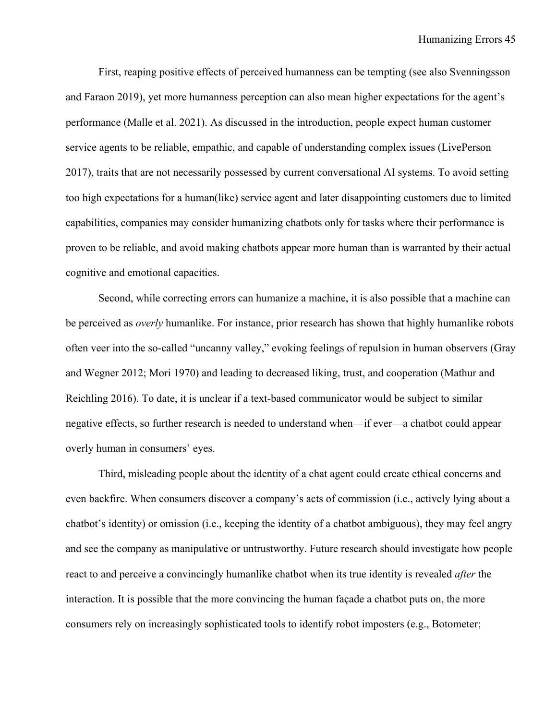First, reaping positive effects of perceived humanness can be tempting (see also Svenningsson and Faraon 2019), yet more humanness perception can also mean higher expectations for the agent's performance (Malle et al. 2021). As discussed in the introduction, people expect human customer service agents to be reliable, empathic, and capable of understanding complex issues (LivePerson 2017), traits that are not necessarily possessed by current conversational AI systems. To avoid setting too high expectations for a human(like) service agent and later disappointing customers due to limited capabilities, companies may consider humanizing chatbots only for tasks where their performance is proven to be reliable, and avoid making chatbots appear more human than is warranted by their actual cognitive and emotional capacities.

Second, while correcting errors can humanize a machine, it is also possible that a machine can be perceived as *overly* humanlike. For instance, prior research has shown that highly humanlike robots often veer into the so-called "uncanny valley," evoking feelings of repulsion in human observers (Gray and Wegner 2012; Mori 1970) and leading to decreased liking, trust, and cooperation (Mathur and Reichling 2016). To date, it is unclear if a text-based communicator would be subject to similar negative effects, so further research is needed to understand when—if ever—a chatbot could appear overly human in consumers' eyes.

Third, misleading people about the identity of a chat agent could create ethical concerns and even backfire. When consumers discover a company's acts of commission (i.e., actively lying about a chatbot's identity) or omission (i.e., keeping the identity of a chatbot ambiguous), they may feel angry and see the company as manipulative or untrustworthy. Future research should investigate how people react to and perceive a convincingly humanlike chatbot when its true identity is revealed *after* the interaction. It is possible that the more convincing the human façade a chatbot puts on, the more consumers rely on increasingly sophisticated tools to identify robot imposters (e.g., Botometer;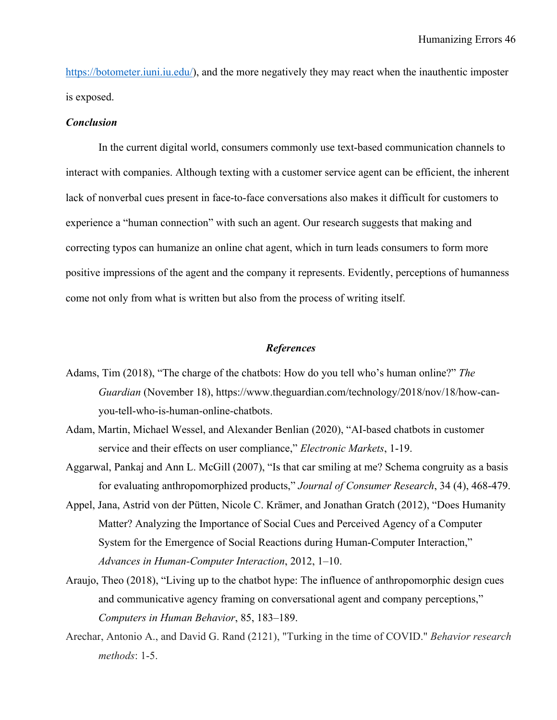https://botometer.juni.ju.edu/), and the more negatively they may react when the inauthentic imposter is exposed.

#### *Conclusion*

In the current digital world, consumers commonly use text-based communication channels to interact with companies. Although texting with a customer service agent can be efficient, the inherent lack of nonverbal cues present in face-to-face conversations also makes it difficult for customers to experience a "human connection" with such an agent. Our research suggests that making and correcting typos can humanize an online chat agent, which in turn leads consumers to form more positive impressions of the agent and the company it represents. Evidently, perceptions of humanness come not only from what is written but also from the process of writing itself.

### *References*

- Adams, Tim (2018), "The charge of the chatbots: How do you tell who's human online?" *The Guardian* (November 18), https://www.theguardian.com/technology/2018/nov/18/how-canyou-tell-who-is-human-online-chatbots.
- Adam, Martin, Michael Wessel, and Alexander Benlian (2020), "AI-based chatbots in customer service and their effects on user compliance," *Electronic Markets*, 1-19.
- Aggarwal, Pankaj and Ann L. McGill (2007), "Is that car smiling at me? Schema congruity as a basis for evaluating anthropomorphized products," *Journal of Consumer Research*, 34 (4), 468-479.
- Appel, Jana, Astrid von der Pütten, Nicole C. Krämer, and Jonathan Gratch (2012), "Does Humanity Matter? Analyzing the Importance of Social Cues and Perceived Agency of a Computer System for the Emergence of Social Reactions during Human-Computer Interaction," *Advances in Human-Computer Interaction*, 2012, 1–10.
- Araujo, Theo (2018), "Living up to the chatbot hype: The influence of anthropomorphic design cues and communicative agency framing on conversational agent and company perceptions," *Computers in Human Behavior*, 85, 183–189.
- Arechar, Antonio A., and David G. Rand (2121), "Turking in the time of COVID." *Behavior research methods*: 1-5.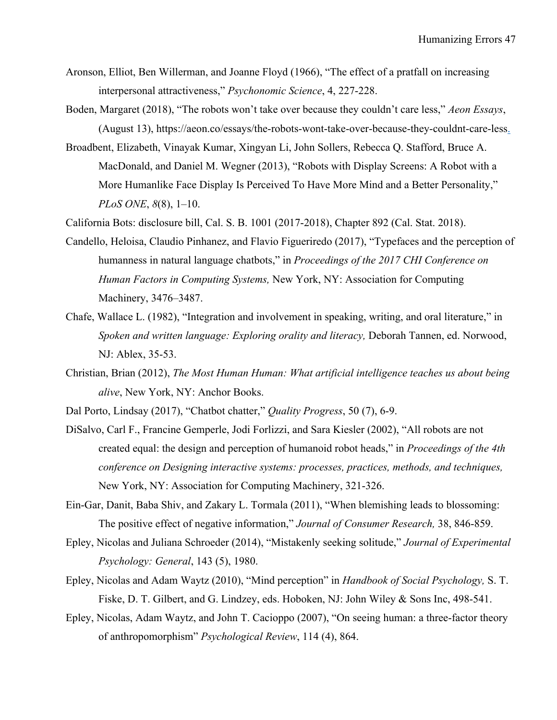- Aronson, Elliot, Ben Willerman, and Joanne Floyd (1966), "The effect of a pratfall on increasing interpersonal attractiveness," *Psychonomic Science*, 4, 227-228.
- Boden, Margaret (2018), "The robots won't take over because they couldn't care less," *Aeon Essays*, (August 13), https://aeon.co/essays/the-robots-wont-take-over-because-they-couldnt-care-less.
- Broadbent, Elizabeth, Vinayak Kumar, Xingyan Li, John Sollers, Rebecca Q. Stafford, Bruce A. MacDonald, and Daniel M. Wegner (2013), "Robots with Display Screens: A Robot with a More Humanlike Face Display Is Perceived To Have More Mind and a Better Personality," *PLoS ONE*, *8*(8), 1–10.

California Bots: disclosure bill, Cal. S. B. 1001 (2017-2018), Chapter 892 (Cal. Stat. 2018).

- Candello, Heloisa, Claudio Pinhanez, and Flavio Figueriredo (2017), "Typefaces and the perception of humanness in natural language chatbots," in *Proceedings of the 2017 CHI Conference on Human Factors in Computing Systems,* New York, NY: Association for Computing Machinery, 3476–3487.
- Chafe, Wallace L. (1982), "Integration and involvement in speaking, writing, and oral literature," in *Spoken and written language: Exploring orality and literacy,* Deborah Tannen, ed. Norwood, NJ: Ablex, 35-53.
- Christian, Brian (2012), *The Most Human Human: What artificial intelligence teaches us about being alive*, New York, NY: Anchor Books.
- Dal Porto, Lindsay (2017), "Chatbot chatter," *Quality Progress*, 50 (7), 6-9.
- DiSalvo, Carl F., Francine Gemperle, Jodi Forlizzi, and Sara Kiesler (2002), "All robots are not created equal: the design and perception of humanoid robot heads," in *Proceedings of the 4th conference on Designing interactive systems: processes, practices, methods, and techniques,* New York, NY: Association for Computing Machinery, 321-326.
- Ein-Gar, Danit, Baba Shiv, and Zakary L. Tormala (2011), "When blemishing leads to blossoming: The positive effect of negative information," *Journal of Consumer Research,* 38, 846-859.
- Epley, Nicolas and Juliana Schroeder (2014), "Mistakenly seeking solitude," *Journal of Experimental Psychology: General*, 143 (5), 1980.
- Epley, Nicolas and Adam Waytz (2010), "Mind perception" in *Handbook of Social Psychology,* S. T. Fiske, D. T. Gilbert, and G. Lindzey, eds. Hoboken, NJ: John Wiley & Sons Inc, 498-541.
- Epley, Nicolas, Adam Waytz, and John T. Cacioppo (2007), "On seeing human: a three-factor theory of anthropomorphism" *Psychological Review*, 114 (4), 864.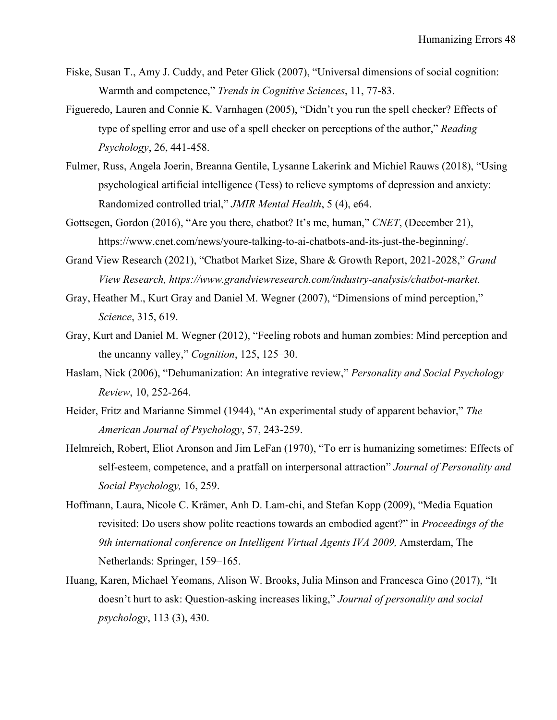- Fiske, Susan T., Amy J. Cuddy, and Peter Glick (2007), "Universal dimensions of social cognition: Warmth and competence," *Trends in Cognitive Sciences*, 11, 77-83.
- Figueredo, Lauren and Connie K. Varnhagen (2005), "Didn't you run the spell checker? Effects of type of spelling error and use of a spell checker on perceptions of the author," *Reading Psychology*, 26, 441-458.
- Fulmer, Russ, Angela Joerin, Breanna Gentile, Lysanne Lakerink and Michiel Rauws (2018), "Using psychological artificial intelligence (Tess) to relieve symptoms of depression and anxiety: Randomized controlled trial," *JMIR Mental Health*, 5 (4), e64.
- Gottsegen, Gordon (2016), "Are you there, chatbot? It's me, human," *CNET*, (December 21), https://www.cnet.com/news/youre-talking-to-ai-chatbots-and-its-just-the-beginning/.
- Grand View Research (2021), "Chatbot Market Size, Share & Growth Report, 2021-2028," *Grand View Research, https://www.grandviewresearch.com/industry-analysis/chatbot-market.*
- Gray, Heather M., Kurt Gray and Daniel M. Wegner (2007), "Dimensions of mind perception," *Science*, 315, 619.
- Gray, Kurt and Daniel M. Wegner (2012), "Feeling robots and human zombies: Mind perception and the uncanny valley," *Cognition*, 125, 125–30.
- Haslam, Nick (2006), "Dehumanization: An integrative review," *Personality and Social Psychology Review*, 10, 252-264.
- Heider, Fritz and Marianne Simmel (1944), "An experimental study of apparent behavior," *The American Journal of Psychology*, 57, 243-259.
- Helmreich, Robert, Eliot Aronson and Jim LeFan (1970), "To err is humanizing sometimes: Effects of self-esteem, competence, and a pratfall on interpersonal attraction" *Journal of Personality and Social Psychology,* 16, 259.
- Hoffmann, Laura, Nicole C. Krämer, Anh D. Lam-chi, and Stefan Kopp (2009), "Media Equation revisited: Do users show polite reactions towards an embodied agent?" in *Proceedings of the 9th international conference on Intelligent Virtual Agents IVA 2009,* Amsterdam, The Netherlands: Springer, 159–165.
- Huang, Karen, Michael Yeomans, Alison W. Brooks, Julia Minson and Francesca Gino (2017), "It doesn't hurt to ask: Question-asking increases liking," *Journal of personality and social psychology*, 113 (3), 430.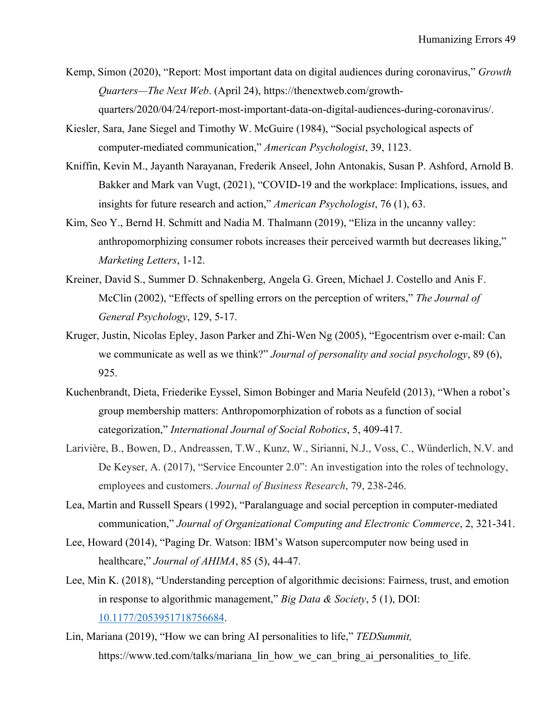- Kemp, Simon (2020), "Report: Most important data on digital audiences during coronavirus," *Growth Quarters—The Next Web*. (April 24), https://thenextweb.com/growthquarters/2020/04/24/report-most-important-data-on-digital-audiences-during-coronavirus/.
- Kiesler, Sara, Jane Siegel and Timothy W. McGuire (1984), "Social psychological aspects of computer-mediated communication," *American Psychologist*, 39, 1123.
- Kniffin, Kevin M., Jayanth Narayanan, Frederik Anseel, John Antonakis, Susan P. Ashford, Arnold B. Bakker and Mark van Vugt, (2021), "COVID-19 and the workplace: Implications, issues, and insights for future research and action," *American Psychologist*, 76 (1), 63.
- Kim, Seo Y., Bernd H. Schmitt and Nadia M. Thalmann (2019), "Eliza in the uncanny valley: anthropomorphizing consumer robots increases their perceived warmth but decreases liking," *Marketing Letters*, 1-12.
- Kreiner, David S., Summer D. Schnakenberg, Angela G. Green, Michael J. Costello and Anis F. McClin (2002), "Effects of spelling errors on the perception of writers," *The Journal of General Psychology*, 129, 5-17.
- Kruger, Justin, Nicolas Epley, Jason Parker and Zhi-Wen Ng (2005), "Egocentrism over e-mail: Can we communicate as well as we think?" *Journal of personality and social psychology*, 89 (6), 925.
- Kuchenbrandt, Dieta, Friederike Eyssel, Simon Bobinger and Maria Neufeld (2013), "When a robot's group membership matters: Anthropomorphization of robots as a function of social categorization," *International Journal of Social Robotics*, 5, 409-417.
- Larivière, B., Bowen, D., Andreassen, T.W., Kunz, W., Sirianni, N.J., Voss, C., Wünderlich, N.V. and De Keyser, A. (2017), "Service Encounter 2.0": An investigation into the roles of technology, employees and customers. *Journal of Business Research*, 79, 238-246.
- Lea, Martin and Russell Spears (1992), "Paralanguage and social perception in computer‐mediated communication," *Journal of Organizational Computing and Electronic Commerce*, 2, 321-341.
- Lee, Howard (2014), "Paging Dr. Watson: IBM's Watson supercomputer now being used in healthcare," *Journal of AHIMA*, 85 (5), 44-47.
- Lee, Min K. (2018), "Understanding perception of algorithmic decisions: Fairness, trust, and emotion in response to algorithmic management," *Big Data & Society*, 5 (1), DOI: 10.1177/2053951718756684.
- Lin, Mariana (2019), "How we can bring AI personalities to life," *TEDSummit,*  https://www.ted.com/talks/mariana\_lin\_how\_we\_can\_bring\_ai\_personalities\_to\_life.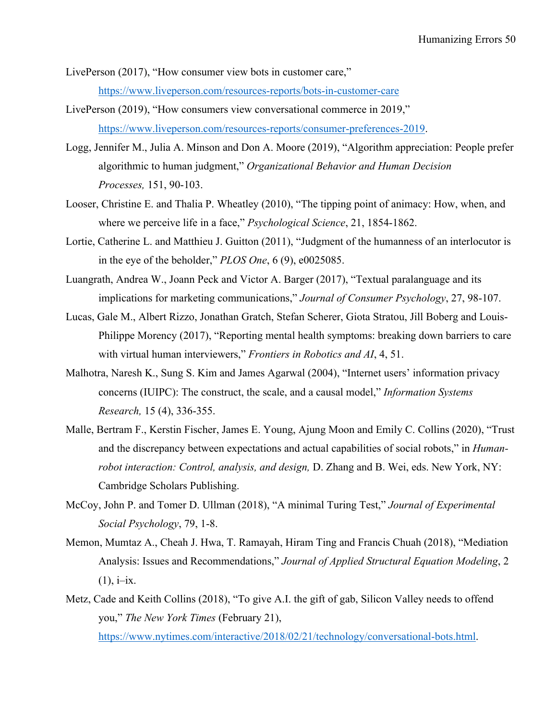LivePerson (2017), "How consumer view bots in customer care," https://www.liveperson.com/resources-reports/bots-in-customer-care

- LivePerson (2019), "How consumers view conversational commerce in 2019," https://www.liveperson.com/resources-reports/consumer-preferences-2019.
- Logg, Jennifer M., Julia A. Minson and Don A. Moore (2019), "Algorithm appreciation: People prefer algorithmic to human judgment," *Organizational Behavior and Human Decision Processes,* 151, 90-103.
- Looser, Christine E. and Thalia P. Wheatley (2010), "The tipping point of animacy: How, when, and where we perceive life in a face," *Psychological Science*, 21, 1854-1862.
- Lortie, Catherine L. and Matthieu J. Guitton (2011), "Judgment of the humanness of an interlocutor is in the eye of the beholder," *PLOS One*, 6 (9), e0025085.
- Luangrath, Andrea W., Joann Peck and Victor A. Barger (2017), "Textual paralanguage and its implications for marketing communications," *Journal of Consumer Psychology*, 27, 98-107.
- Lucas, Gale M., Albert Rizzo, Jonathan Gratch, Stefan Scherer, Giota Stratou, Jill Boberg and Louis-Philippe Morency (2017), "Reporting mental health symptoms: breaking down barriers to care with virtual human interviewers," *Frontiers in Robotics and AI*, 4, 51.
- Malhotra, Naresh K., Sung S. Kim and James Agarwal (2004), "Internet users' information privacy concerns (IUIPC): The construct, the scale, and a causal model," *Information Systems Research,* 15 (4), 336-355.
- Malle, Bertram F., Kerstin Fischer, James E. Young, Ajung Moon and Emily C. Collins (2020), "Trust and the discrepancy between expectations and actual capabilities of social robots," in *Humanrobot interaction: Control, analysis, and design,* D. Zhang and B. Wei, eds. New York, NY: Cambridge Scholars Publishing.
- McCoy, John P. and Tomer D. Ullman (2018), "A minimal Turing Test," *Journal of Experimental Social Psychology*, 79, 1-8.
- Memon, Mumtaz A., Cheah J. Hwa, T. Ramayah, Hiram Ting and Francis Chuah (2018), "Mediation Analysis: Issues and Recommendations," *Journal of Applied Structural Equation Modeling*, 2  $(1), i-ix.$
- Metz, Cade and Keith Collins (2018), "To give A.I. the gift of gab, Silicon Valley needs to offend you," *The New York Times* (February 21), https://www.nytimes.com/interactive/2018/02/21/technology/conversational-bots.html.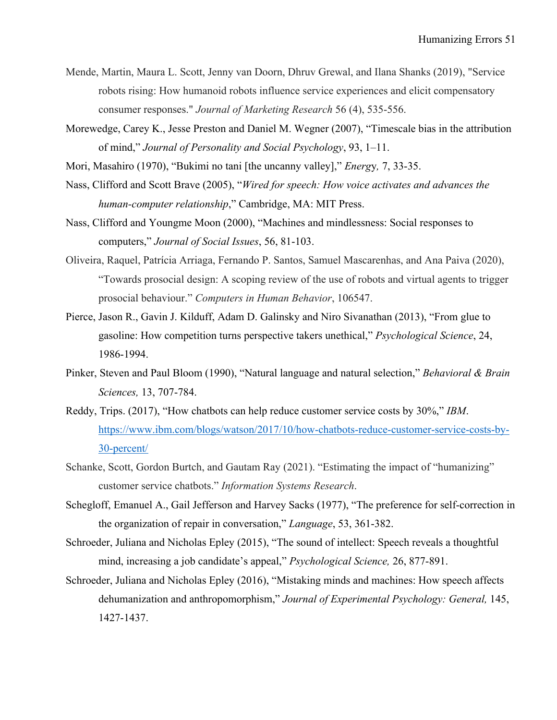- Mende, Martin, Maura L. Scott, Jenny van Doorn, Dhruv Grewal, and Ilana Shanks (2019), "Service robots rising: How humanoid robots influence service experiences and elicit compensatory consumer responses." *Journal of Marketing Research* 56 (4), 535-556.
- Morewedge, Carey K., Jesse Preston and Daniel M. Wegner (2007), "Timescale bias in the attribution of mind," *Journal of Personality and Social Psychology*, 93, 1–11.
- Mori, Masahiro (1970), "Bukimi no tani [the uncanny valley]," *Energ*y*,* 7, 33-35.
- Nass, Clifford and Scott Brave (2005), "*Wired for speech: How voice activates and advances the human-computer relationship*," Cambridge, MA: MIT Press.
- Nass, Clifford and Youngme Moon (2000), "Machines and mindlessness: Social responses to computers," *Journal of Social Issues*, 56, 81-103.
- Oliveira, Raquel, Patrícia Arriaga, Fernando P. Santos, Samuel Mascarenhas, and Ana Paiva (2020), "Towards prosocial design: A scoping review of the use of robots and virtual agents to trigger prosocial behaviour." *Computers in Human Behavior*, 106547.
- Pierce, Jason R., Gavin J. Kilduff, Adam D. Galinsky and Niro Sivanathan (2013), "From glue to gasoline: How competition turns perspective takers unethical," *Psychological Science*, 24, 1986-1994.
- Pinker, Steven and Paul Bloom (1990), "Natural language and natural selection," *Behavioral & Brain Sciences,* 13, 707-784.
- Reddy, Trips. (2017), "How chatbots can help reduce customer service costs by 30%," *IBM*. https://www.ibm.com/blogs/watson/2017/10/how-chatbots-reduce-customer-service-costs-by-30-percent/
- Schanke, Scott, Gordon Burtch, and Gautam Ray (2021). "Estimating the impact of "humanizing" customer service chatbots." *Information Systems Research*.
- Schegloff, Emanuel A., Gail Jefferson and Harvey Sacks (1977), "The preference for self-correction in the organization of repair in conversation," *Language*, 53, 361-382.
- Schroeder, Juliana and Nicholas Epley (2015), "The sound of intellect: Speech reveals a thoughtful mind, increasing a job candidate's appeal," *Psychological Science,* 26, 877-891.
- Schroeder, Juliana and Nicholas Epley (2016), "Mistaking minds and machines: How speech affects dehumanization and anthropomorphism," *Journal of Experimental Psychology: General,* 145, 1427-1437.